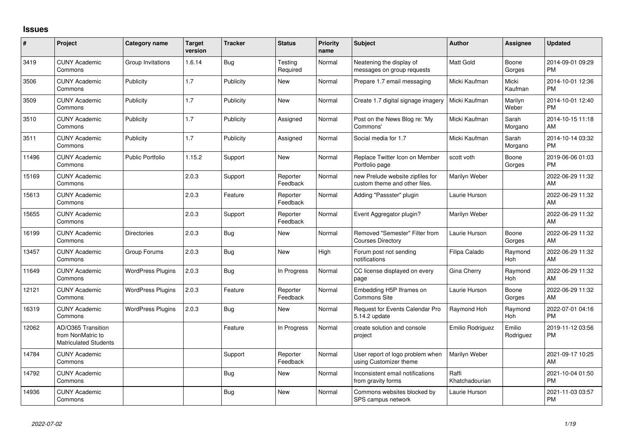## **Issues**

| $\pmb{\#}$ | Project                                                                 | <b>Category name</b>     | <b>Target</b><br>version | <b>Tracker</b> | <b>Status</b>        | <b>Priority</b><br>name | <b>Subject</b>                                                    | <b>Author</b>           | Assignee            | <b>Updated</b>                |
|------------|-------------------------------------------------------------------------|--------------------------|--------------------------|----------------|----------------------|-------------------------|-------------------------------------------------------------------|-------------------------|---------------------|-------------------------------|
| 3419       | <b>CUNY Academic</b><br>Commons                                         | Group Invitations        | 1.6.14                   | Bug            | Testing<br>Required  | Normal                  | Neatening the display of<br>messages on group requests            | Matt Gold               | Boone<br>Gorges     | 2014-09-01 09:29<br><b>PM</b> |
| 3506       | <b>CUNY Academic</b><br>Commons                                         | Publicity                | 1.7                      | Publicity      | New                  | Normal                  | Prepare 1.7 email messaging                                       | Micki Kaufman           | Micki<br>Kaufman    | 2014-10-01 12:36<br><b>PM</b> |
| 3509       | <b>CUNY Academic</b><br>Commons                                         | Publicity                | 1.7                      | Publicity      | <b>New</b>           | Normal                  | Create 1.7 digital signage imagery                                | Micki Kaufman           | Marilyn<br>Weber    | 2014-10-01 12:40<br><b>PM</b> |
| 3510       | <b>CUNY Academic</b><br>Commons                                         | Publicity                | 1.7                      | Publicity      | Assigned             | Normal                  | Post on the News Blog re: 'My<br>Commons'                         | Micki Kaufman           | Sarah<br>Morgano    | 2014-10-15 11:18<br>AM        |
| 3511       | <b>CUNY Academic</b><br>Commons                                         | Publicity                | 1.7                      | Publicity      | Assigned             | Normal                  | Social media for 1.7                                              | Micki Kaufman           | Sarah<br>Morgano    | 2014-10-14 03:32<br><b>PM</b> |
| 11496      | <b>CUNY Academic</b><br>Commons                                         | <b>Public Portfolio</b>  | 1.15.2                   | Support        | New                  | Normal                  | Replace Twitter Icon on Member<br>Portfolio page                  | scott voth              | Boone<br>Gorges     | 2019-06-06 01:03<br><b>PM</b> |
| 15169      | <b>CUNY Academic</b><br>Commons                                         |                          | 2.0.3                    | Support        | Reporter<br>Feedback | Normal                  | new Prelude website zipfiles for<br>custom theme and other files. | Marilyn Weber           |                     | 2022-06-29 11:32<br>AM        |
| 15613      | <b>CUNY Academic</b><br>Commons                                         |                          | 2.0.3                    | Feature        | Reporter<br>Feedback | Normal                  | Adding "Passster" plugin                                          | Laurie Hurson           |                     | 2022-06-29 11:32<br>AM        |
| 15655      | <b>CUNY Academic</b><br>Commons                                         |                          | 2.0.3                    | Support        | Reporter<br>Feedback | Normal                  | Event Aggregator plugin?                                          | Marilyn Weber           |                     | 2022-06-29 11:32<br>AM        |
| 16199      | <b>CUNY Academic</b><br>Commons                                         | <b>Directories</b>       | 2.0.3                    | <b>Bug</b>     | New                  | Normal                  | Removed "Semester" Filter from<br><b>Courses Directory</b>        | Laurie Hurson           | Boone<br>Gorges     | 2022-06-29 11:32<br>AM        |
| 13457      | <b>CUNY Academic</b><br>Commons                                         | Group Forums             | 2.0.3                    | Bug            | New                  | High                    | Forum post not sending<br>notifications                           | Filipa Calado           | Raymond<br>Hoh      | 2022-06-29 11:32<br>AM        |
| 11649      | <b>CUNY Academic</b><br>Commons                                         | <b>WordPress Plugins</b> | 2.0.3                    | Bug            | In Progress          | Normal                  | CC license displayed on every<br>page                             | Gina Cherry             | Raymond<br>Hoh      | 2022-06-29 11:32<br>AM        |
| 12121      | <b>CUNY Academic</b><br>Commons                                         | <b>WordPress Plugins</b> | 2.0.3                    | Feature        | Reporter<br>Feedback | Normal                  | Embedding H5P Iframes on<br>Commons Site                          | Laurie Hurson           | Boone<br>Gorges     | 2022-06-29 11:32<br>AM        |
| 16319      | <b>CUNY Academic</b><br>Commons                                         | <b>WordPress Plugins</b> | 2.0.3                    | <b>Bug</b>     | <b>New</b>           | Normal                  | Request for Events Calendar Pro<br>5.14.2 update                  | Raymond Hoh             | Raymond<br>Hoh      | 2022-07-01 04:16<br><b>PM</b> |
| 12062      | AD/O365 Transition<br>from NonMatric to<br><b>Matriculated Students</b> |                          |                          | Feature        | In Progress          | Normal                  | create solution and console<br>project                            | Emilio Rodriguez        | Emilio<br>Rodriguez | 2019-11-12 03:56<br><b>PM</b> |
| 14784      | <b>CUNY Academic</b><br>Commons                                         |                          |                          | Support        | Reporter<br>Feedback | Normal                  | User report of logo problem when<br>using Customizer theme        | Marilyn Weber           |                     | 2021-09-17 10:25<br>AM        |
| 14792      | <b>CUNY Academic</b><br>Commons                                         |                          |                          | Bug            | New                  | Normal                  | Inconsistent email notifications<br>from gravity forms            | Raffi<br>Khatchadourian |                     | 2021-10-04 01:50<br>PM        |
| 14936      | <b>CUNY Academic</b><br>Commons                                         |                          |                          | <b>Bug</b>     | <b>New</b>           | Normal                  | Commons websites blocked by<br>SPS campus network                 | Laurie Hurson           |                     | 2021-11-03 03:57<br><b>PM</b> |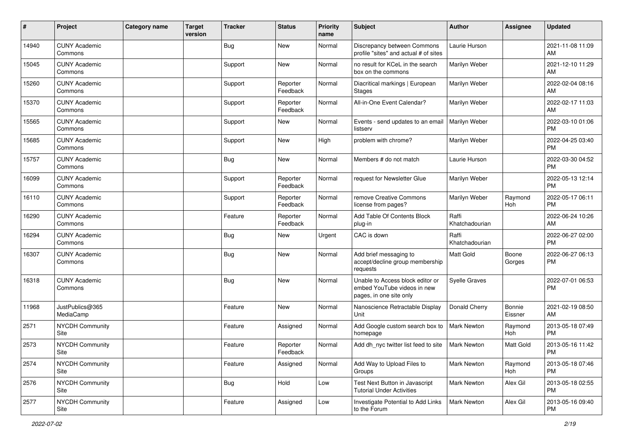| #     | Project                         | Category name | <b>Target</b><br>version | <b>Tracker</b> | <b>Status</b>        | <b>Priority</b><br>name | <b>Subject</b>                                                                             | <b>Author</b>           | Assignee          | <b>Updated</b>                |
|-------|---------------------------------|---------------|--------------------------|----------------|----------------------|-------------------------|--------------------------------------------------------------------------------------------|-------------------------|-------------------|-------------------------------|
| 14940 | <b>CUNY Academic</b><br>Commons |               |                          | <b>Bug</b>     | <b>New</b>           | Normal                  | Discrepancy between Commons<br>profile "sites" and actual # of sites                       | Laurie Hurson           |                   | 2021-11-08 11:09<br>AM        |
| 15045 | <b>CUNY Academic</b><br>Commons |               |                          | Support        | New                  | Normal                  | no result for KCeL in the search<br>box on the commons                                     | Marilyn Weber           |                   | 2021-12-10 11:29<br>AM        |
| 15260 | <b>CUNY Academic</b><br>Commons |               |                          | Support        | Reporter<br>Feedback | Normal                  | Diacritical markings   European<br><b>Stages</b>                                           | Marilyn Weber           |                   | 2022-02-04 08:16<br>AM        |
| 15370 | <b>CUNY Academic</b><br>Commons |               |                          | Support        | Reporter<br>Feedback | Normal                  | All-in-One Event Calendar?                                                                 | Marilyn Weber           |                   | 2022-02-17 11:03<br>AM        |
| 15565 | <b>CUNY Academic</b><br>Commons |               |                          | Support        | New                  | Normal                  | Events - send updates to an email<br>listserv                                              | Marilyn Weber           |                   | 2022-03-10 01:06<br><b>PM</b> |
| 15685 | <b>CUNY Academic</b><br>Commons |               |                          | Support        | New                  | High                    | problem with chrome?                                                                       | Marilyn Weber           |                   | 2022-04-25 03:40<br><b>PM</b> |
| 15757 | <b>CUNY Academic</b><br>Commons |               |                          | <b>Bug</b>     | <b>New</b>           | Normal                  | Members # do not match                                                                     | Laurie Hurson           |                   | 2022-03-30 04:52<br><b>PM</b> |
| 16099 | <b>CUNY Academic</b><br>Commons |               |                          | Support        | Reporter<br>Feedback | Normal                  | request for Newsletter Glue                                                                | Marilyn Weber           |                   | 2022-05-13 12:14<br><b>PM</b> |
| 16110 | <b>CUNY Academic</b><br>Commons |               |                          | Support        | Reporter<br>Feedback | Normal                  | remove Creative Commons<br>license from pages?                                             | Marilyn Weber           | Raymond<br>Hoh    | 2022-05-17 06:11<br><b>PM</b> |
| 16290 | <b>CUNY Academic</b><br>Commons |               |                          | Feature        | Reporter<br>Feedback | Normal                  | Add Table Of Contents Block<br>plug-in                                                     | Raffi<br>Khatchadourian |                   | 2022-06-24 10:26<br>AM        |
| 16294 | <b>CUNY Academic</b><br>Commons |               |                          | <b>Bug</b>     | <b>New</b>           | Urgent                  | CAC is down                                                                                | Raffi<br>Khatchadourian |                   | 2022-06-27 02:00<br><b>PM</b> |
| 16307 | <b>CUNY Academic</b><br>Commons |               |                          | <b>Bug</b>     | <b>New</b>           | Normal                  | Add brief messaging to<br>accept/decline group membership<br>requests                      | <b>Matt Gold</b>        | Boone<br>Gorges   | 2022-06-27 06:13<br><b>PM</b> |
| 16318 | <b>CUNY Academic</b><br>Commons |               |                          | <b>Bug</b>     | <b>New</b>           | Normal                  | Unable to Access block editor or<br>embed YouTube videos in new<br>pages, in one site only | <b>Syelle Graves</b>    |                   | 2022-07-01 06:53<br><b>PM</b> |
| 11968 | JustPublics@365<br>MediaCamp    |               |                          | Feature        | New                  | Normal                  | Nanoscience Retractable Display<br>Unit                                                    | Donald Cherry           | Bonnie<br>Eissner | 2021-02-19 08:50<br>AM        |
| 2571  | <b>NYCDH Community</b><br>Site  |               |                          | Feature        | Assigned             | Normal                  | Add Google custom search box to<br>homepage                                                | <b>Mark Newton</b>      | Raymond<br>Hoh    | 2013-05-18 07:49<br><b>PM</b> |
| 2573  | <b>NYCDH Community</b><br>Site  |               |                          | Feature        | Reporter<br>Feedback | Normal                  | Add dh nyc twitter list feed to site                                                       | <b>Mark Newton</b>      | Matt Gold         | 2013-05-16 11:42<br>PM        |
| 2574  | <b>NYCDH Community</b><br>Site  |               |                          | Feature        | Assigned             | Normal                  | Add Way to Upload Files to<br>Groups                                                       | Mark Newton             | Raymond<br>Hoh    | 2013-05-18 07:46<br><b>PM</b> |
| 2576  | NYCDH Community<br>Site         |               |                          | <b>Bug</b>     | Hold                 | Low                     | Test Next Button in Javascript<br><b>Tutorial Under Activities</b>                         | <b>Mark Newton</b>      | Alex Gil          | 2013-05-18 02:55<br><b>PM</b> |
| 2577  | <b>NYCDH Community</b><br>Site  |               |                          | Feature        | Assigned             | Low                     | Investigate Potential to Add Links<br>to the Forum                                         | Mark Newton             | Alex Gil          | 2013-05-16 09:40<br><b>PM</b> |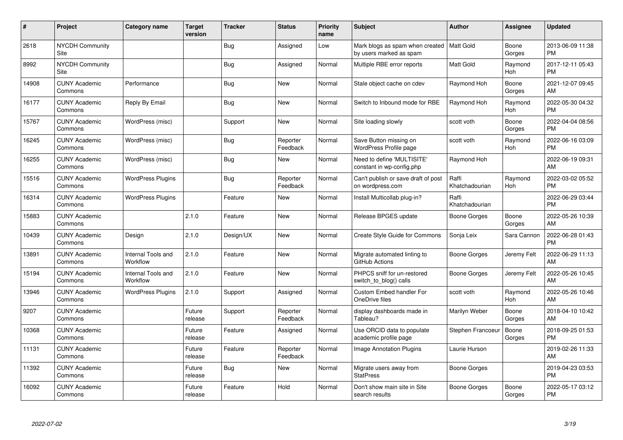| #     | Project                         | <b>Category name</b>           | <b>Target</b><br>version | <b>Tracker</b> | <b>Status</b>        | <b>Priority</b><br>name | <b>Subject</b>                                                         | <b>Author</b>           | <b>Assignee</b> | <b>Updated</b>                |
|-------|---------------------------------|--------------------------------|--------------------------|----------------|----------------------|-------------------------|------------------------------------------------------------------------|-------------------------|-----------------|-------------------------------|
| 2618  | <b>NYCDH Community</b><br>Site  |                                |                          | Bug            | Assigned             | Low                     | Mark blogs as spam when created   Matt Gold<br>by users marked as spam |                         | Boone<br>Gorges | 2013-06-09 11:38<br><b>PM</b> |
| 8992  | <b>NYCDH Community</b><br>Site  |                                |                          | <b>Bug</b>     | Assigned             | Normal                  | Multiple RBE error reports                                             | Matt Gold               | Raymond<br>Hoh  | 2017-12-11 05:43<br><b>PM</b> |
| 14908 | <b>CUNY Academic</b><br>Commons | Performance                    |                          | <b>Bug</b>     | <b>New</b>           | Normal                  | Stale object cache on cdev                                             | Raymond Hoh             | Boone<br>Gorges | 2021-12-07 09:45<br>AM        |
| 16177 | <b>CUNY Academic</b><br>Commons | Reply By Email                 |                          | Bug            | <b>New</b>           | Normal                  | Switch to Inbound mode for RBE                                         | Raymond Hoh             | Raymond<br>Hoh  | 2022-05-30 04:32<br><b>PM</b> |
| 15767 | <b>CUNY Academic</b><br>Commons | WordPress (misc)               |                          | Support        | New                  | Normal                  | Site loading slowly                                                    | scott voth              | Boone<br>Gorges | 2022-04-04 08:56<br><b>PM</b> |
| 16245 | <b>CUNY Academic</b><br>Commons | WordPress (misc)               |                          | Bug            | Reporter<br>Feedback | Normal                  | Save Button missing on<br><b>WordPress Profile page</b>                | scott voth              | Raymond<br>Hoh  | 2022-06-16 03:09<br><b>PM</b> |
| 16255 | <b>CUNY Academic</b><br>Commons | WordPress (misc)               |                          | Bug            | New                  | Normal                  | Need to define 'MULTISITE'<br>constant in wp-config.php                | Raymond Hoh             |                 | 2022-06-19 09:31<br>AM        |
| 15516 | <b>CUNY Academic</b><br>Commons | <b>WordPress Plugins</b>       |                          | <b>Bug</b>     | Reporter<br>Feedback | Normal                  | Can't publish or save draft of post<br>on wordpress.com                | Raffi<br>Khatchadourian | Raymond<br>Hoh  | 2022-03-02 05:52<br><b>PM</b> |
| 16314 | <b>CUNY Academic</b><br>Commons | <b>WordPress Plugins</b>       |                          | Feature        | New                  | Normal                  | Install Multicollab plug-in?                                           | Raffi<br>Khatchadourian |                 | 2022-06-29 03:44<br><b>PM</b> |
| 15883 | <b>CUNY Academic</b><br>Commons |                                | 2.1.0                    | Feature        | New                  | Normal                  | Release BPGES update                                                   | Boone Gorges            | Boone<br>Gorges | 2022-05-26 10:39<br>AM        |
| 10439 | <b>CUNY Academic</b><br>Commons | Design                         | 2.1.0                    | Design/UX      | New                  | Normal                  | Create Style Guide for Commons                                         | Sonja Leix              | Sara Cannon     | 2022-06-28 01:43<br><b>PM</b> |
| 13891 | <b>CUNY Academic</b><br>Commons | Internal Tools and<br>Workflow | 2.1.0                    | Feature        | New                  | Normal                  | Migrate automated linting to<br>GitHub Actions                         | Boone Gorges            | Jeremy Felt     | 2022-06-29 11:13<br>AM        |
| 15194 | <b>CUNY Academic</b><br>Commons | Internal Tools and<br>Workflow | 2.1.0                    | Feature        | New                  | Normal                  | PHPCS sniff for un-restored<br>switch_to_blog() calls                  | Boone Gorges            | Jeremy Felt     | 2022-05-26 10:45<br>AM        |
| 13946 | <b>CUNY Academic</b><br>Commons | <b>WordPress Plugins</b>       | 2.1.0                    | Support        | Assigned             | Normal                  | <b>Custom Embed handler For</b><br>OneDrive files                      | scott voth              | Raymond<br>Hoh  | 2022-05-26 10:46<br>AM        |
| 9207  | <b>CUNY Academic</b><br>Commons |                                | Future<br>release        | Support        | Reporter<br>Feedback | Normal                  | display dashboards made in<br>Tableau?                                 | Marilyn Weber           | Boone<br>Gorges | 2018-04-10 10:42<br>AM        |
| 10368 | <b>CUNY Academic</b><br>Commons |                                | Future<br>release        | Feature        | Assigned             | Normal                  | Use ORCID data to populate<br>academic profile page                    | Stephen Francoeur       | Boone<br>Gorges | 2018-09-25 01:53<br><b>PM</b> |
| 11131 | <b>CUNY Academic</b><br>Commons |                                | Future<br>release        | Feature        | Reporter<br>Feedback | Normal                  | Image Annotation Plugins                                               | Laurie Hurson           |                 | 2019-02-26 11:33<br>AM        |
| 11392 | <b>CUNY Academic</b><br>Commons |                                | Future<br>release        | Bug            | New                  | Normal                  | Migrate users away from<br><b>StatPress</b>                            | Boone Gorges            |                 | 2019-04-23 03:53<br><b>PM</b> |
| 16092 | <b>CUNY Academic</b><br>Commons |                                | Future<br>release        | Feature        | Hold                 | Normal                  | Don't show main site in Site<br>search results                         | Boone Gorges            | Boone<br>Gorges | 2022-05-17 03:12<br><b>PM</b> |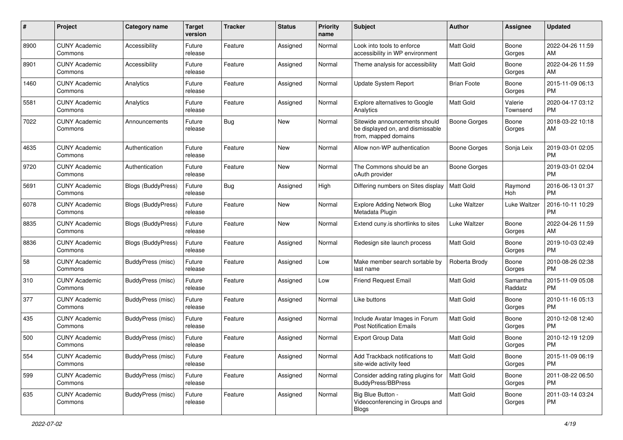| #    | Project                         | <b>Category name</b>      | <b>Target</b><br>version | <b>Tracker</b> | <b>Status</b> | Priority<br>name | <b>Subject</b>                                                                            | Author             | <b>Assignee</b>     | <b>Updated</b>                |
|------|---------------------------------|---------------------------|--------------------------|----------------|---------------|------------------|-------------------------------------------------------------------------------------------|--------------------|---------------------|-------------------------------|
| 8900 | <b>CUNY Academic</b><br>Commons | Accessibility             | Future<br>release        | Feature        | Assigned      | Normal           | Look into tools to enforce<br>accessibility in WP environment                             | <b>Matt Gold</b>   | Boone<br>Gorges     | 2022-04-26 11:59<br>AM.       |
| 8901 | <b>CUNY Academic</b><br>Commons | Accessibility             | Future<br>release        | Feature        | Assigned      | Normal           | Theme analysis for accessibility                                                          | Matt Gold          | Boone<br>Gorges     | 2022-04-26 11:59<br>AM        |
| 1460 | <b>CUNY Academic</b><br>Commons | Analytics                 | Future<br>release        | Feature        | Assigned      | Normal           | <b>Update System Report</b>                                                               | <b>Brian Foote</b> | Boone<br>Gorges     | 2015-11-09 06:13<br><b>PM</b> |
| 5581 | <b>CUNY Academic</b><br>Commons | Analytics                 | Future<br>release        | Feature        | Assigned      | Normal           | Explore alternatives to Google<br>Analytics                                               | <b>Matt Gold</b>   | Valerie<br>Townsend | 2020-04-17 03:12<br>PM.       |
| 7022 | <b>CUNY Academic</b><br>Commons | Announcements             | Future<br>release        | Bug            | New           | Normal           | Sitewide announcements should<br>be displayed on, and dismissable<br>from, mapped domains | Boone Gorges       | Boone<br>Gorges     | 2018-03-22 10:18<br>AM        |
| 4635 | <b>CUNY Academic</b><br>Commons | Authentication            | Future<br>release        | Feature        | New           | Normal           | Allow non-WP authentication                                                               | Boone Gorges       | Sonja Leix          | 2019-03-01 02:05<br><b>PM</b> |
| 9720 | <b>CUNY Academic</b><br>Commons | Authentication            | Future<br>release        | Feature        | New           | Normal           | The Commons should be an<br>oAuth provider                                                | Boone Gorges       |                     | 2019-03-01 02:04<br><b>PM</b> |
| 5691 | <b>CUNY Academic</b><br>Commons | <b>Blogs (BuddyPress)</b> | Future<br>release        | Bug            | Assigned      | High             | Differing numbers on Sites display                                                        | <b>Matt Gold</b>   | Raymond<br>Hoh      | 2016-06-13 01:37<br><b>PM</b> |
| 6078 | <b>CUNY Academic</b><br>Commons | Blogs (BuddyPress)        | Future<br>release        | Feature        | New           | Normal           | <b>Explore Adding Network Blog</b><br>Metadata Plugin                                     | Luke Waltzer       | Luke Waltzer        | 2016-10-11 10:29<br><b>PM</b> |
| 8835 | <b>CUNY Academic</b><br>Commons | <b>Blogs (BuddyPress)</b> | Future<br>release        | Feature        | New           | Normal           | Extend cuny.is shortlinks to sites                                                        | Luke Waltzer       | Boone<br>Gorges     | 2022-04-26 11:59<br>AM.       |
| 8836 | <b>CUNY Academic</b><br>Commons | Blogs (BuddyPress)        | Future<br>release        | Feature        | Assigned      | Normal           | Redesign site launch process                                                              | Matt Gold          | Boone<br>Gorges     | 2019-10-03 02:49<br><b>PM</b> |
| 58   | <b>CUNY Academic</b><br>Commons | <b>BuddyPress</b> (misc)  | Future<br>release        | Feature        | Assigned      | Low              | Make member search sortable by<br>last name                                               | Roberta Brody      | Boone<br>Gorges     | 2010-08-26 02:38<br>PM.       |
| 310  | <b>CUNY Academic</b><br>Commons | <b>BuddyPress</b> (misc)  | Future<br>release        | Feature        | Assigned      | Low              | <b>Friend Request Email</b>                                                               | <b>Matt Gold</b>   | Samantha<br>Raddatz | 2015-11-09 05:08<br><b>PM</b> |
| 377  | <b>CUNY Academic</b><br>Commons | <b>BuddyPress (misc)</b>  | Future<br>release        | Feature        | Assigned      | Normal           | Like buttons                                                                              | <b>Matt Gold</b>   | Boone<br>Gorges     | 2010-11-16 05:13<br><b>PM</b> |
| 435  | <b>CUNY Academic</b><br>Commons | <b>BuddyPress</b> (misc)  | Future<br>release        | Feature        | Assigned      | Normal           | Include Avatar Images in Forum<br><b>Post Notification Emails</b>                         | Matt Gold          | Boone<br>Gorges     | 2010-12-08 12:40<br><b>PM</b> |
| 500  | <b>CUNY Academic</b><br>Commons | <b>BuddyPress</b> (misc)  | Future<br>release        | Feature        | Assigned      | Normal           | Export Group Data                                                                         | <b>Matt Gold</b>   | Boone<br>Gorges     | 2010-12-19 12:09<br>PM        |
| 554  | <b>CUNY Academic</b><br>Commons | BuddyPress (misc)         | Future<br>release        | Feature        | Assigned      | Normal           | Add Trackback notifications to<br>site-wide activity feed                                 | <b>Matt Gold</b>   | Boone<br>Gorges     | 2015-11-09 06:19<br><b>PM</b> |
| 599  | <b>CUNY Academic</b><br>Commons | <b>BuddyPress</b> (misc)  | Future<br>release        | Feature        | Assigned      | Normal           | Consider adding rating plugins for<br>BuddyPress/BBPress                                  | Matt Gold          | Boone<br>Gorges     | 2011-08-22 06:50<br><b>PM</b> |
| 635  | <b>CUNY Academic</b><br>Commons | BuddyPress (misc)         | Future<br>release        | Feature        | Assigned      | Normal           | Big Blue Button -<br>Videoconferencing in Groups and<br>Blogs                             | Matt Gold          | Boone<br>Gorges     | 2011-03-14 03:24<br>PM.       |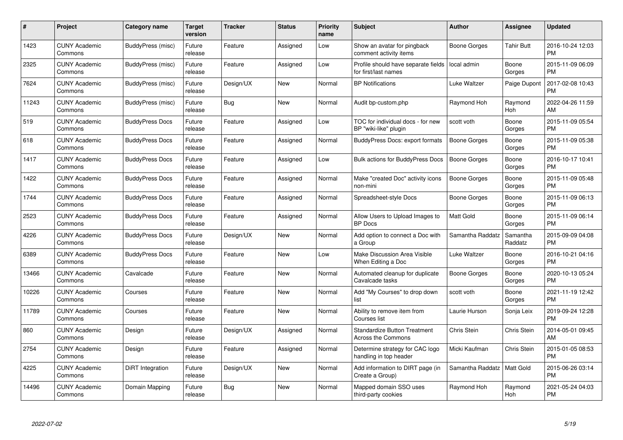| $\#$  | Project                         | <b>Category name</b>   | <b>Target</b><br>version | <b>Tracker</b> | <b>Status</b> | Priority<br>name | <b>Subject</b>                                                   | <b>Author</b>       | <b>Assignee</b>     | <b>Updated</b>                |
|-------|---------------------------------|------------------------|--------------------------|----------------|---------------|------------------|------------------------------------------------------------------|---------------------|---------------------|-------------------------------|
| 1423  | <b>CUNY Academic</b><br>Commons | BuddyPress (misc)      | Future<br>release        | Feature        | Assigned      | Low              | Show an avatar for pingback<br>comment activity items            | Boone Gorges        | <b>Tahir Butt</b>   | 2016-10-24 12:03<br><b>PM</b> |
| 2325  | <b>CUNY Academic</b><br>Commons | BuddyPress (misc)      | Future<br>release        | Feature        | Assigned      | Low              | Profile should have separate fields<br>for first/last names      | local admin         | Boone<br>Gorges     | 2015-11-09 06:09<br><b>PM</b> |
| 7624  | <b>CUNY Academic</b><br>Commons | BuddyPress (misc)      | Future<br>release        | Design/UX      | New           | Normal           | <b>BP Notifications</b>                                          | Luke Waltzer        | Paige Dupont        | 2017-02-08 10:43<br><b>PM</b> |
| 11243 | <b>CUNY Academic</b><br>Commons | BuddyPress (misc)      | Future<br>release        | Bug            | <b>New</b>    | Normal           | Audit bp-custom.php                                              | Raymond Hoh         | Raymond<br>Hoh      | 2022-04-26 11:59<br>AM        |
| 519   | <b>CUNY Academic</b><br>Commons | <b>BuddyPress Docs</b> | Future<br>release        | Feature        | Assigned      | Low              | TOC for individual docs - for new<br>BP "wiki-like" plugin       | scott voth          | Boone<br>Gorges     | 2015-11-09 05:54<br><b>PM</b> |
| 618   | <b>CUNY Academic</b><br>Commons | <b>BuddyPress Docs</b> | Future<br>release        | Feature        | Assigned      | Normal           | BuddyPress Docs: export formats                                  | <b>Boone Gorges</b> | Boone<br>Gorges     | 2015-11-09 05:38<br><b>PM</b> |
| 1417  | <b>CUNY Academic</b><br>Commons | <b>BuddyPress Docs</b> | Future<br>release        | Feature        | Assigned      | Low              | <b>Bulk actions for BuddyPress Docs</b>                          | <b>Boone Gorges</b> | Boone<br>Gorges     | 2016-10-17 10:41<br><b>PM</b> |
| 1422  | <b>CUNY Academic</b><br>Commons | <b>BuddyPress Docs</b> | Future<br>release        | Feature        | Assigned      | Normal           | Make "created Doc" activity icons<br>non-mini                    | Boone Gorges        | Boone<br>Gorges     | 2015-11-09 05:48<br><b>PM</b> |
| 1744  | <b>CUNY Academic</b><br>Commons | <b>BuddyPress Docs</b> | Future<br>release        | Feature        | Assigned      | Normal           | Spreadsheet-style Docs                                           | Boone Gorges        | Boone<br>Gorges     | 2015-11-09 06:13<br><b>PM</b> |
| 2523  | <b>CUNY Academic</b><br>Commons | <b>BuddyPress Docs</b> | Future<br>release        | Feature        | Assigned      | Normal           | Allow Users to Upload Images to<br><b>BP</b> Docs                | Matt Gold           | Boone<br>Gorges     | 2015-11-09 06:14<br><b>PM</b> |
| 4226  | <b>CUNY Academic</b><br>Commons | <b>BuddyPress Docs</b> | Future<br>release        | Design/UX      | New           | Normal           | Add option to connect a Doc with<br>a Group                      | Samantha Raddatz    | Samantha<br>Raddatz | 2015-09-09 04:08<br><b>PM</b> |
| 6389  | <b>CUNY Academic</b><br>Commons | <b>BuddyPress Docs</b> | Future<br>release        | Feature        | New           | Low              | Make Discussion Area Visible<br>When Editing a Doc               | Luke Waltzer        | Boone<br>Gorges     | 2016-10-21 04:16<br><b>PM</b> |
| 13466 | <b>CUNY Academic</b><br>Commons | Cavalcade              | Future<br>release        | Feature        | New           | Normal           | Automated cleanup for duplicate<br>Cavalcade tasks               | Boone Gorges        | Boone<br>Gorges     | 2020-10-13 05:24<br><b>PM</b> |
| 10226 | <b>CUNY Academic</b><br>Commons | Courses                | Future<br>release        | Feature        | New           | Normal           | Add "My Courses" to drop down<br>list                            | scott voth          | Boone<br>Gorges     | 2021-11-19 12:42<br><b>PM</b> |
| 11789 | <b>CUNY Academic</b><br>Commons | Courses                | Future<br>release        | Feature        | New           | Normal           | Ability to remove item from<br>Courses list                      | Laurie Hurson       | Sonja Leix          | 2019-09-24 12:28<br><b>PM</b> |
| 860   | <b>CUNY Academic</b><br>Commons | Design                 | Future<br>release        | Design/UX      | Assigned      | Normal           | <b>Standardize Button Treatment</b><br><b>Across the Commons</b> | Chris Stein         | Chris Stein         | 2014-05-01 09:45<br>AM        |
| 2754  | <b>CUNY Academic</b><br>Commons | Design                 | Future<br>release        | Feature        | Assigned      | Normal           | Determine strategy for CAC logo<br>handling in top header        | Micki Kaufman       | Chris Stein         | 2015-01-05 08:53<br><b>PM</b> |
| 4225  | <b>CUNY Academic</b><br>Commons | DiRT Integration       | Future<br>release        | Design/UX      | New           | Normal           | Add information to DIRT page (in<br>Create a Group)              | Samantha Raddatz    | Matt Gold           | 2015-06-26 03:14<br><b>PM</b> |
| 14496 | <b>CUNY Academic</b><br>Commons | Domain Mapping         | Future<br>release        | Bug            | <b>New</b>    | Normal           | Mapped domain SSO uses<br>third-party cookies                    | Raymond Hoh         | Raymond<br>Hoh      | 2021-05-24 04:03<br>PM        |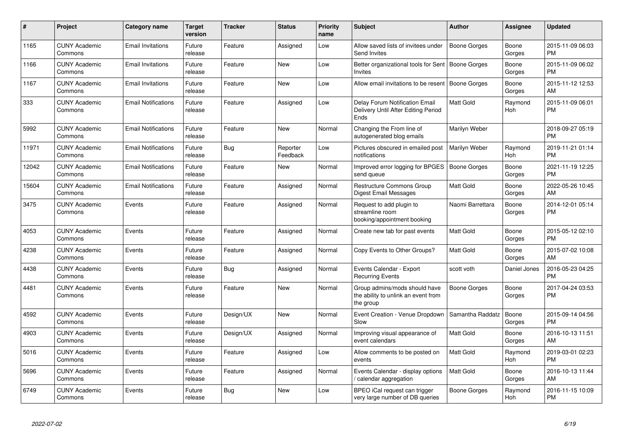| #     | Project                         | <b>Category name</b>       | <b>Target</b><br>version | <b>Tracker</b> | <b>Status</b>        | <b>Priority</b><br>name | <b>Subject</b>                                                                    | <b>Author</b>       | <b>Assignee</b> | <b>Updated</b>                |
|-------|---------------------------------|----------------------------|--------------------------|----------------|----------------------|-------------------------|-----------------------------------------------------------------------------------|---------------------|-----------------|-------------------------------|
| 1165  | <b>CUNY Academic</b><br>Commons | <b>Email Invitations</b>   | Future<br>release        | Feature        | Assigned             | Low                     | Allow saved lists of invitees under<br>Send Invites                               | <b>Boone Gorges</b> | Boone<br>Gorges | 2015-11-09 06:03<br><b>PM</b> |
| 1166  | <b>CUNY Academic</b><br>Commons | <b>Email Invitations</b>   | Future<br>release        | Feature        | <b>New</b>           | Low                     | Better organizational tools for Sent   Boone Gorges<br><b>Invites</b>             |                     | Boone<br>Gorges | 2015-11-09 06:02<br><b>PM</b> |
| 1167  | <b>CUNY Academic</b><br>Commons | Email Invitations          | Future<br>release        | Feature        | New                  | Low                     | Allow email invitations to be resent                                              | <b>Boone Gorges</b> | Boone<br>Gorges | 2015-11-12 12:53<br>AM        |
| 333   | <b>CUNY Academic</b><br>Commons | <b>Email Notifications</b> | Future<br>release        | Feature        | Assigned             | Low                     | Delay Forum Notification Email<br>Delivery Until After Editing Period<br>Ends     | <b>Matt Gold</b>    | Raymond<br>Hoh  | 2015-11-09 06:01<br><b>PM</b> |
| 5992  | <b>CUNY Academic</b><br>Commons | <b>Email Notifications</b> | Future<br>release        | Feature        | New                  | Normal                  | Changing the From line of<br>autogenerated blog emails                            | Marilyn Weber       |                 | 2018-09-27 05:19<br><b>PM</b> |
| 11971 | <b>CUNY Academic</b><br>Commons | <b>Email Notifications</b> | Future<br>release        | Bug            | Reporter<br>Feedback | Low                     | Pictures obscured in emailed post<br>notifications                                | Marilyn Weber       | Raymond<br>Hoh  | 2019-11-21 01:14<br><b>PM</b> |
| 12042 | <b>CUNY Academic</b><br>Commons | <b>Email Notifications</b> | Future<br>release        | Feature        | <b>New</b>           | Normal                  | Improved error logging for BPGES<br>send queue                                    | <b>Boone Gorges</b> | Boone<br>Gorges | 2021-11-19 12:25<br><b>PM</b> |
| 15604 | <b>CUNY Academic</b><br>Commons | <b>Email Notifications</b> | Future<br>release        | Feature        | Assigned             | Normal                  | <b>Restructure Commons Group</b><br>Digest Email Messages                         | <b>Matt Gold</b>    | Boone<br>Gorges | 2022-05-26 10:45<br>AM        |
| 3475  | <b>CUNY Academic</b><br>Commons | Events                     | Future<br>release        | Feature        | Assigned             | Normal                  | Request to add plugin to<br>streamline room<br>booking/appointment booking        | Naomi Barrettara    | Boone<br>Gorges | 2014-12-01 05:14<br><b>PM</b> |
| 4053  | <b>CUNY Academic</b><br>Commons | Events                     | Future<br>release        | Feature        | Assigned             | Normal                  | Create new tab for past events                                                    | Matt Gold           | Boone<br>Gorges | 2015-05-12 02:10<br><b>PM</b> |
| 4238  | <b>CUNY Academic</b><br>Commons | Events                     | Future<br>release        | Feature        | Assigned             | Normal                  | Copy Events to Other Groups?                                                      | <b>Matt Gold</b>    | Boone<br>Gorges | 2015-07-02 10:08<br>AM        |
| 4438  | <b>CUNY Academic</b><br>Commons | Events                     | Future<br>release        | <b>Bug</b>     | Assigned             | Normal                  | Events Calendar - Export<br><b>Recurring Events</b>                               | scott voth          | Daniel Jones    | 2016-05-23 04:25<br><b>PM</b> |
| 4481  | <b>CUNY Academic</b><br>Commons | Events                     | Future<br>release        | Feature        | <b>New</b>           | Normal                  | Group admins/mods should have<br>the ability to unlink an event from<br>the group | Boone Gorges        | Boone<br>Gorges | 2017-04-24 03:53<br><b>PM</b> |
| 4592  | <b>CUNY Academic</b><br>Commons | Events                     | Future<br>release        | Design/UX      | New                  | Normal                  | Event Creation - Venue Dropdown<br>Slow                                           | Samantha Raddatz    | Boone<br>Gorges | 2015-09-14 04:56<br><b>PM</b> |
| 4903  | <b>CUNY Academic</b><br>Commons | Events                     | Future<br>release        | Design/UX      | Assigned             | Normal                  | Improving visual appearance of<br>event calendars                                 | Matt Gold           | Boone<br>Gorges | 2016-10-13 11:51<br>AM        |
| 5016  | <b>CUNY Academic</b><br>Commons | Events                     | Future<br>release        | Feature        | Assigned             | Low                     | Allow comments to be posted on<br>events                                          | <b>Matt Gold</b>    | Raymond<br>Hoh  | 2019-03-01 02:23<br><b>PM</b> |
| 5696  | <b>CUNY Academic</b><br>Commons | Events                     | Future<br>release        | Feature        | Assigned             | Normal                  | Events Calendar - display options<br>calendar aggregation /                       | <b>Matt Gold</b>    | Boone<br>Gorges | 2016-10-13 11:44<br>AM        |
| 6749  | <b>CUNY Academic</b><br>Commons | Events                     | Future<br>release        | Bug            | <b>New</b>           | Low                     | BPEO iCal request can trigger<br>very large number of DB queries                  | Boone Gorges        | Raymond<br>Hoh  | 2016-11-15 10:09<br><b>PM</b> |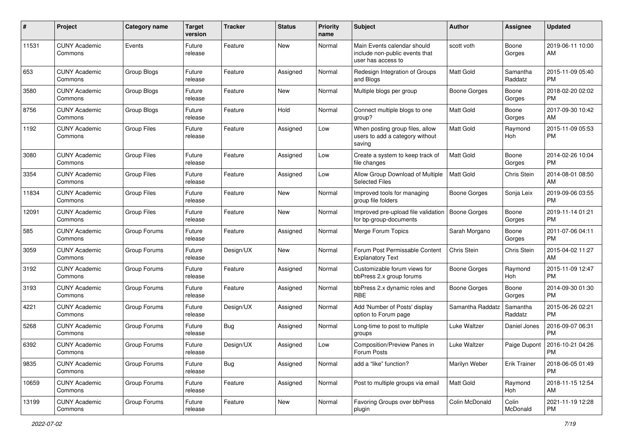| #     | Project                         | Category name      | <b>Target</b><br>version | <b>Tracker</b> | <b>Status</b> | <b>Priority</b><br>name | Subject                                                                             | Author              | <b>Assignee</b>     | <b>Updated</b>                |
|-------|---------------------------------|--------------------|--------------------------|----------------|---------------|-------------------------|-------------------------------------------------------------------------------------|---------------------|---------------------|-------------------------------|
| 11531 | <b>CUNY Academic</b><br>Commons | Events             | Future<br>release        | Feature        | <b>New</b>    | Normal                  | Main Events calendar should<br>include non-public events that<br>user has access to | scott voth          | Boone<br>Gorges     | 2019-06-11 10:00<br>AM        |
| 653   | <b>CUNY Academic</b><br>Commons | Group Blogs        | Future<br>release        | Feature        | Assigned      | Normal                  | Redesign Integration of Groups<br>and Blogs                                         | <b>Matt Gold</b>    | Samantha<br>Raddatz | 2015-11-09 05:40<br><b>PM</b> |
| 3580  | <b>CUNY Academic</b><br>Commons | Group Blogs        | Future<br>release        | Feature        | New           | Normal                  | Multiple blogs per group                                                            | <b>Boone Gorges</b> | Boone<br>Gorges     | 2018-02-20 02:02<br><b>PM</b> |
| 8756  | <b>CUNY Academic</b><br>Commons | Group Blogs        | Future<br>release        | Feature        | Hold          | Normal                  | Connect multiple blogs to one<br>group?                                             | <b>Matt Gold</b>    | Boone<br>Gorges     | 2017-09-30 10:42<br>AM        |
| 1192  | <b>CUNY Academic</b><br>Commons | <b>Group Files</b> | Future<br>release        | Feature        | Assigned      | Low                     | When posting group files, allow<br>users to add a category without<br>saving        | Matt Gold           | Raymond<br>Hoh      | 2015-11-09 05:53<br><b>PM</b> |
| 3080  | <b>CUNY Academic</b><br>Commons | <b>Group Files</b> | Future<br>release        | Feature        | Assigned      | Low                     | Create a system to keep track of<br>file changes                                    | <b>Matt Gold</b>    | Boone<br>Gorges     | 2014-02-26 10:04<br><b>PM</b> |
| 3354  | <b>CUNY Academic</b><br>Commons | <b>Group Files</b> | Future<br>release        | Feature        | Assigned      | Low                     | Allow Group Download of Multiple<br><b>Selected Files</b>                           | <b>Matt Gold</b>    | Chris Stein         | 2014-08-01 08:50<br>AM        |
| 11834 | <b>CUNY Academic</b><br>Commons | <b>Group Files</b> | Future<br>release        | Feature        | New           | Normal                  | Improved tools for managing<br>group file folders                                   | <b>Boone Gorges</b> | Sonja Leix          | 2019-09-06 03:55<br><b>PM</b> |
| 12091 | <b>CUNY Academic</b><br>Commons | <b>Group Files</b> | Future<br>release        | Feature        | New           | Normal                  | Improved pre-upload file validation<br>for bp-group-documents                       | <b>Boone Gorges</b> | Boone<br>Gorges     | 2019-11-14 01:21<br><b>PM</b> |
| 585   | <b>CUNY Academic</b><br>Commons | Group Forums       | Future<br>release        | Feature        | Assigned      | Normal                  | Merge Forum Topics                                                                  | Sarah Morgano       | Boone<br>Gorges     | 2011-07-06 04:11<br><b>PM</b> |
| 3059  | <b>CUNY Academic</b><br>Commons | Group Forums       | Future<br>release        | Design/UX      | New           | Normal                  | Forum Post Permissable Content<br><b>Explanatory Text</b>                           | Chris Stein         | Chris Stein         | 2015-04-02 11:27<br>AM        |
| 3192  | <b>CUNY Academic</b><br>Commons | Group Forums       | Future<br>release        | Feature        | Assigned      | Normal                  | Customizable forum views for<br>bbPress 2.x group forums                            | Boone Gorges        | Raymond<br>Hoh      | 2015-11-09 12:47<br><b>PM</b> |
| 3193  | <b>CUNY Academic</b><br>Commons | Group Forums       | Future<br>release        | Feature        | Assigned      | Normal                  | bbPress 2.x dynamic roles and<br><b>RBE</b>                                         | Boone Gorges        | Boone<br>Gorges     | 2014-09-30 01:30<br><b>PM</b> |
| 4221  | <b>CUNY Academic</b><br>Commons | Group Forums       | Future<br>release        | Design/UX      | Assigned      | Normal                  | Add 'Number of Posts' display<br>option to Forum page                               | Samantha Raddatz    | Samantha<br>Raddatz | 2015-06-26 02:21<br><b>PM</b> |
| 5268  | <b>CUNY Academic</b><br>Commons | Group Forums       | Future<br>release        | Bug            | Assigned      | Normal                  | Long-time to post to multiple<br>groups                                             | Luke Waltzer        | Daniel Jones        | 2016-09-07 06:31<br><b>PM</b> |
| 6392  | <b>CUNY Academic</b><br>Commons | Group Forums       | Future<br>release        | Design/UX      | Assigned      | Low                     | Composition/Preview Panes in<br>Forum Posts                                         | Luke Waltzer        | Paige Dupont        | 2016-10-21 04:26<br>PM        |
| 9835  | <b>CUNY Academic</b><br>Commons | Group Forums       | Future<br>release        | Bug            | Assigned      | Normal                  | add a "like" function?                                                              | Marilyn Weber       | Erik Trainer        | 2018-06-05 01:49<br><b>PM</b> |
| 10659 | <b>CUNY Academic</b><br>Commons | Group Forums       | Future<br>release        | Feature        | Assigned      | Normal                  | Post to multiple groups via email                                                   | Matt Gold           | Raymond<br>Hoh      | 2018-11-15 12:54<br>AM        |
| 13199 | <b>CUNY Academic</b><br>Commons | Group Forums       | Future<br>release        | Feature        | New           | Normal                  | Favoring Groups over bbPress<br>plugin                                              | Colin McDonald      | Colin<br>McDonald   | 2021-11-19 12:28<br><b>PM</b> |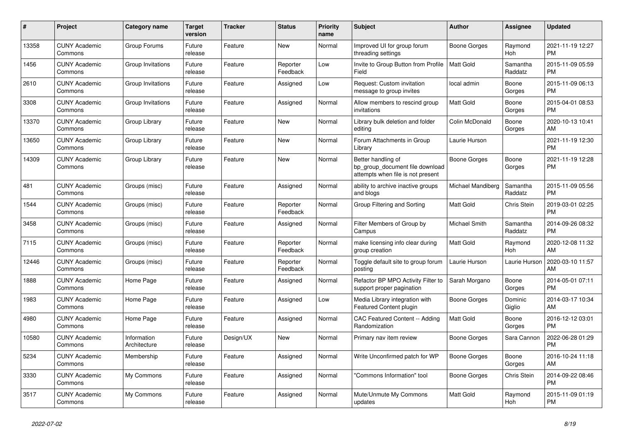| #     | Project                         | <b>Category name</b>        | <b>Target</b><br>version | <b>Tracker</b> | <b>Status</b>        | <b>Priority</b><br>name | <b>Subject</b>                                                                             | <b>Author</b>     | Assignee            | <b>Updated</b>                |
|-------|---------------------------------|-----------------------------|--------------------------|----------------|----------------------|-------------------------|--------------------------------------------------------------------------------------------|-------------------|---------------------|-------------------------------|
| 13358 | <b>CUNY Academic</b><br>Commons | Group Forums                | Future<br>release        | Feature        | New                  | Normal                  | Improved UI for group forum<br>threading settings                                          | Boone Gorges      | Raymond<br>Hoh      | 2021-11-19 12:27<br><b>PM</b> |
| 1456  | <b>CUNY Academic</b><br>Commons | Group Invitations           | Future<br>release        | Feature        | Reporter<br>Feedback | Low                     | Invite to Group Button from Profile<br>Field                                               | <b>Matt Gold</b>  | Samantha<br>Raddatz | 2015-11-09 05:59<br><b>PM</b> |
| 2610  | <b>CUNY Academic</b><br>Commons | Group Invitations           | Future<br>release        | Feature        | Assigned             | Low                     | Request: Custom invitation<br>message to group invites                                     | local admin       | Boone<br>Gorges     | 2015-11-09 06:13<br><b>PM</b> |
| 3308  | <b>CUNY Academic</b><br>Commons | Group Invitations           | Future<br>release        | Feature        | Assigned             | Normal                  | Allow members to rescind group<br>invitations                                              | <b>Matt Gold</b>  | Boone<br>Gorges     | 2015-04-01 08:53<br><b>PM</b> |
| 13370 | <b>CUNY Academic</b><br>Commons | Group Library               | Future<br>release        | Feature        | New                  | Normal                  | Library bulk deletion and folder<br>editing                                                | Colin McDonald    | Boone<br>Gorges     | 2020-10-13 10:41<br>AM        |
| 13650 | <b>CUNY Academic</b><br>Commons | Group Library               | Future<br>release        | Feature        | New                  | Normal                  | Forum Attachments in Group<br>Library                                                      | Laurie Hurson     |                     | 2021-11-19 12:30<br><b>PM</b> |
| 14309 | <b>CUNY Academic</b><br>Commons | Group Library               | Future<br>release        | Feature        | <b>New</b>           | Normal                  | Better handling of<br>bp group document file download<br>attempts when file is not present | Boone Gorges      | Boone<br>Gorges     | 2021-11-19 12:28<br><b>PM</b> |
| 481   | <b>CUNY Academic</b><br>Commons | Groups (misc)               | Future<br>release        | Feature        | Assigned             | Normal                  | ability to archive inactive groups<br>and blogs                                            | Michael Mandiberg | Samantha<br>Raddatz | 2015-11-09 05:56<br><b>PM</b> |
| 1544  | <b>CUNY Academic</b><br>Commons | Groups (misc)               | Future<br>release        | Feature        | Reporter<br>Feedback | Normal                  | Group Filtering and Sorting                                                                | Matt Gold         | <b>Chris Stein</b>  | 2019-03-01 02:25<br><b>PM</b> |
| 3458  | <b>CUNY Academic</b><br>Commons | Groups (misc)               | Future<br>release        | Feature        | Assigned             | Normal                  | Filter Members of Group by<br>Campus                                                       | Michael Smith     | Samantha<br>Raddatz | 2014-09-26 08:32<br><b>PM</b> |
| 7115  | <b>CUNY Academic</b><br>Commons | Groups (misc)               | Future<br>release        | Feature        | Reporter<br>Feedback | Normal                  | make licensing info clear during<br>group creation                                         | Matt Gold         | Raymond<br>Hoh      | 2020-12-08 11:32<br>AM        |
| 12446 | <b>CUNY Academic</b><br>Commons | Groups (misc)               | Future<br>release        | Feature        | Reporter<br>Feedback | Normal                  | Toggle default site to group forum<br>posting                                              | Laurie Hurson     | Laurie Hurson       | 2020-03-10 11:57<br>AM        |
| 1888  | <b>CUNY Academic</b><br>Commons | Home Page                   | Future<br>release        | Feature        | Assigned             | Normal                  | Refactor BP MPO Activity Filter to<br>support proper pagination                            | Sarah Morgano     | Boone<br>Gorges     | 2014-05-01 07:11<br><b>PM</b> |
| 1983  | <b>CUNY Academic</b><br>Commons | Home Page                   | Future<br>release        | Feature        | Assigned             | Low                     | Media Library integration with<br><b>Featured Content plugin</b>                           | Boone Gorges      | Dominic<br>Giglio   | 2014-03-17 10:34<br>AM        |
| 4980  | <b>CUNY Academic</b><br>Commons | Home Page                   | Future<br>release        | Feature        | Assigned             | Normal                  | CAC Featured Content -- Adding<br>Randomization                                            | <b>Matt Gold</b>  | Boone<br>Gorges     | 2016-12-12 03:01<br><b>PM</b> |
| 10580 | <b>CUNY Academic</b><br>Commons | Information<br>Architecture | Future<br>release        | Design/UX      | New                  | Normal                  | Primary nav item review                                                                    | Boone Gorges      | Sara Cannon         | 2022-06-28 01:29<br><b>PM</b> |
| 5234  | <b>CUNY Academic</b><br>Commons | Membership                  | Future<br>release        | Feature        | Assigned             | Normal                  | Write Unconfirmed patch for WP                                                             | Boone Gorges      | Boone<br>Gorges     | 2016-10-24 11:18<br>AM        |
| 3330  | <b>CUNY Academic</b><br>Commons | My Commons                  | Future<br>release        | Feature        | Assigned             | Normal                  | "Commons Information" tool                                                                 | Boone Gorges      | Chris Stein         | 2014-09-22 08:46<br><b>PM</b> |
| 3517  | <b>CUNY Academic</b><br>Commons | My Commons                  | Future<br>release        | Feature        | Assigned             | Normal                  | Mute/Unmute My Commons<br>updates                                                          | <b>Matt Gold</b>  | Raymond<br>Hoh      | 2015-11-09 01:19<br><b>PM</b> |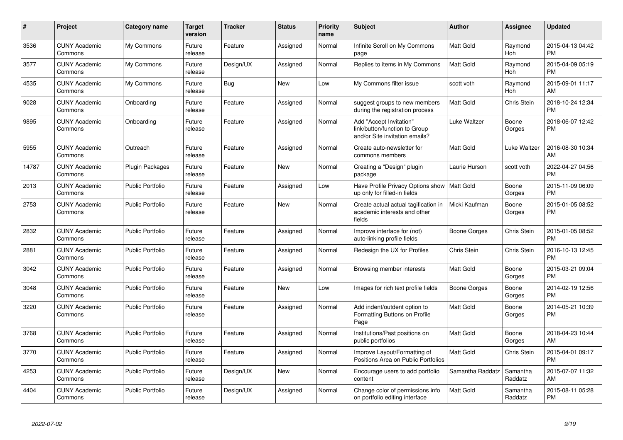| #     | <b>Project</b>                  | <b>Category name</b>    | <b>Target</b><br>version | <b>Tracker</b> | <b>Status</b> | <b>Priority</b><br>name | <b>Subject</b>                                                                             | <b>Author</b>    | Assignee              | <b>Updated</b>                |
|-------|---------------------------------|-------------------------|--------------------------|----------------|---------------|-------------------------|--------------------------------------------------------------------------------------------|------------------|-----------------------|-------------------------------|
| 3536  | <b>CUNY Academic</b><br>Commons | My Commons              | Future<br>release        | Feature        | Assigned      | Normal                  | Infinite Scroll on My Commons<br>page                                                      | Matt Gold        | Raymond<br>Hoh        | 2015-04-13 04:42<br><b>PM</b> |
| 3577  | <b>CUNY Academic</b><br>Commons | My Commons              | Future<br>release        | Design/UX      | Assigned      | Normal                  | Replies to items in My Commons                                                             | <b>Matt Gold</b> | Raymond<br><b>Hoh</b> | 2015-04-09 05:19<br><b>PM</b> |
| 4535  | <b>CUNY Academic</b><br>Commons | My Commons              | Future<br>release        | <b>Bug</b>     | New           | Low                     | My Commons filter issue                                                                    | scott voth       | Raymond<br>Hoh        | 2015-09-01 11:17<br>AM        |
| 9028  | <b>CUNY Academic</b><br>Commons | Onboarding              | Future<br>release        | Feature        | Assigned      | Normal                  | suggest groups to new members<br>during the registration process                           | Matt Gold        | Chris Stein           | 2018-10-24 12:34<br><b>PM</b> |
| 9895  | <b>CUNY Academic</b><br>Commons | Onboarding              | Future<br>release        | Feature        | Assigned      | Normal                  | Add "Accept Invitation"<br>link/button/function to Group<br>and/or Site invitation emails? | Luke Waltzer     | Boone<br>Gorges       | 2018-06-07 12:42<br>PM        |
| 5955  | <b>CUNY Academic</b><br>Commons | Outreach                | Future<br>release        | Feature        | Assigned      | Normal                  | Create auto-newsletter for<br>commons members                                              | Matt Gold        | Luke Waltzer          | 2016-08-30 10:34<br>AM        |
| 14787 | <b>CUNY Academic</b><br>Commons | Plugin Packages         | Future<br>release        | Feature        | <b>New</b>    | Normal                  | Creating a "Design" plugin<br>package                                                      | Laurie Hurson    | scott voth            | 2022-04-27 04:56<br><b>PM</b> |
| 2013  | <b>CUNY Academic</b><br>Commons | <b>Public Portfolio</b> | Future<br>release        | Feature        | Assigned      | Low                     | Have Profile Privacy Options show<br>up only for filled-in fields                          | Matt Gold        | Boone<br>Gorges       | 2015-11-09 06:09<br><b>PM</b> |
| 2753  | <b>CUNY Academic</b><br>Commons | <b>Public Portfolio</b> | Future<br>release        | Feature        | <b>New</b>    | Normal                  | Create actual actual tagification in<br>academic interests and other<br>fields             | Micki Kaufman    | Boone<br>Gorges       | 2015-01-05 08:52<br><b>PM</b> |
| 2832  | <b>CUNY Academic</b><br>Commons | <b>Public Portfolio</b> | Future<br>release        | Feature        | Assigned      | Normal                  | Improve interface for (not)<br>auto-linking profile fields                                 | Boone Gorges     | Chris Stein           | 2015-01-05 08:52<br><b>PM</b> |
| 2881  | <b>CUNY Academic</b><br>Commons | <b>Public Portfolio</b> | Future<br>release        | Feature        | Assigned      | Normal                  | Redesign the UX for Profiles                                                               | Chris Stein      | Chris Stein           | 2016-10-13 12:45<br><b>PM</b> |
| 3042  | <b>CUNY Academic</b><br>Commons | <b>Public Portfolio</b> | Future<br>release        | Feature        | Assigned      | Normal                  | Browsing member interests                                                                  | Matt Gold        | Boone<br>Gorges       | 2015-03-21 09:04<br><b>PM</b> |
| 3048  | <b>CUNY Academic</b><br>Commons | Public Portfolio        | Future<br>release        | Feature        | <b>New</b>    | Low                     | Images for rich text profile fields                                                        | Boone Gorges     | Boone<br>Gorges       | 2014-02-19 12:56<br><b>PM</b> |
| 3220  | <b>CUNY Academic</b><br>Commons | <b>Public Portfolio</b> | Future<br>release        | Feature        | Assigned      | Normal                  | Add indent/outdent option to<br>Formatting Buttons on Profile<br>Page                      | Matt Gold        | Boone<br>Gorges       | 2014-05-21 10:39<br><b>PM</b> |
| 3768  | <b>CUNY Academic</b><br>Commons | <b>Public Portfolio</b> | Future<br>release        | Feature        | Assigned      | Normal                  | Institutions/Past positions on<br>public portfolios                                        | Matt Gold        | Boone<br>Gorges       | 2018-04-23 10:44<br>AM        |
| 3770  | <b>CUNY Academic</b><br>Commons | <b>Public Portfolio</b> | Future<br>release        | Feature        | Assigned      | Normal                  | Improve Layout/Formatting of<br>Positions Area on Public Portfolios                        | Matt Gold        | Chris Stein           | 2015-04-01 09:17<br><b>PM</b> |
| 4253  | <b>CUNY Academic</b><br>Commons | <b>Public Portfolio</b> | Future<br>release        | Design/UX      | <b>New</b>    | Normal                  | Encourage users to add portfolio<br>content                                                | Samantha Raddatz | Samantha<br>Raddatz   | 2015-07-07 11:32<br>AM        |
| 4404  | <b>CUNY Academic</b><br>Commons | <b>Public Portfolio</b> | Future<br>release        | Design/UX      | Assigned      | Normal                  | Change color of permissions info<br>on portfolio editing interface                         | Matt Gold        | Samantha<br>Raddatz   | 2015-08-11 05:28<br><b>PM</b> |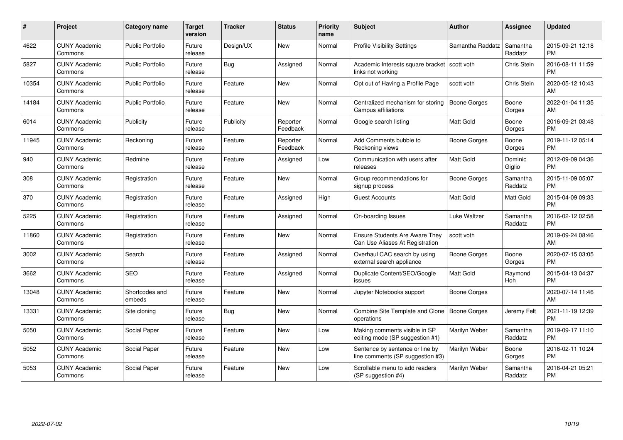| #     | <b>Project</b>                  | <b>Category name</b>     | Target<br>version | <b>Tracker</b> | <b>Status</b>        | Priority<br>name | <b>Subject</b>                                                           | <b>Author</b>       | Assignee            | <b>Updated</b>                |
|-------|---------------------------------|--------------------------|-------------------|----------------|----------------------|------------------|--------------------------------------------------------------------------|---------------------|---------------------|-------------------------------|
| 4622  | <b>CUNY Academic</b><br>Commons | <b>Public Portfolio</b>  | Future<br>release | Design/UX      | New                  | Normal           | Profile Visibility Settings                                              | Samantha Raddatz    | Samantha<br>Raddatz | 2015-09-21 12:18<br><b>PM</b> |
| 5827  | <b>CUNY Academic</b><br>Commons | <b>Public Portfolio</b>  | Future<br>release | Bug            | Assigned             | Normal           | Academic Interests square bracket   scott voth<br>links not working      |                     | <b>Chris Stein</b>  | 2016-08-11 11:59<br><b>PM</b> |
| 10354 | <b>CUNY Academic</b><br>Commons | <b>Public Portfolio</b>  | Future<br>release | Feature        | New                  | Normal           | Opt out of Having a Profile Page                                         | scott voth          | Chris Stein         | 2020-05-12 10:43<br>AM        |
| 14184 | <b>CUNY Academic</b><br>Commons | <b>Public Portfolio</b>  | Future<br>release | Feature        | New                  | Normal           | Centralized mechanism for storing<br>Campus affiliations                 | <b>Boone Gorges</b> | Boone<br>Gorges     | 2022-01-04 11:35<br>AM        |
| 6014  | <b>CUNY Academic</b><br>Commons | Publicity                | Future<br>release | Publicity      | Reporter<br>Feedback | Normal           | Google search listing                                                    | <b>Matt Gold</b>    | Boone<br>Gorges     | 2016-09-21 03:48<br><b>PM</b> |
| 11945 | <b>CUNY Academic</b><br>Commons | Reckoning                | Future<br>release | Feature        | Reporter<br>Feedback | Normal           | Add Comments bubble to<br>Reckoning views                                | Boone Gorges        | Boone<br>Gorges     | 2019-11-12 05:14<br><b>PM</b> |
| 940   | <b>CUNY Academic</b><br>Commons | Redmine                  | Future<br>release | Feature        | Assigned             | Low              | Communication with users after<br>releases                               | Matt Gold           | Dominic<br>Giglio   | 2012-09-09 04:36<br><b>PM</b> |
| 308   | <b>CUNY Academic</b><br>Commons | Registration             | Future<br>release | Feature        | New                  | Normal           | Group recommendations for<br>signup process                              | Boone Gorges        | Samantha<br>Raddatz | 2015-11-09 05:07<br><b>PM</b> |
| 370   | <b>CUNY Academic</b><br>Commons | Registration             | Future<br>release | Feature        | Assigned             | High             | <b>Guest Accounts</b>                                                    | <b>Matt Gold</b>    | Matt Gold           | 2015-04-09 09:33<br><b>PM</b> |
| 5225  | <b>CUNY Academic</b><br>Commons | Registration             | Future<br>release | Feature        | Assigned             | Normal           | On-boarding Issues                                                       | Luke Waltzer        | Samantha<br>Raddatz | 2016-02-12 02:58<br><b>PM</b> |
| 11860 | <b>CUNY Academic</b><br>Commons | Registration             | Future<br>release | Feature        | New                  | Normal           | <b>Ensure Students Are Aware They</b><br>Can Use Aliases At Registration | scott voth          |                     | 2019-09-24 08:46<br>AM        |
| 3002  | <b>CUNY Academic</b><br>Commons | Search                   | Future<br>release | Feature        | Assigned             | Normal           | Overhaul CAC search by using<br>external search appliance                | Boone Gorges        | Boone<br>Gorges     | 2020-07-15 03:05<br><b>PM</b> |
| 3662  | <b>CUNY Academic</b><br>Commons | <b>SEO</b>               | Future<br>release | Feature        | Assigned             | Normal           | Duplicate Content/SEO/Google<br>issues                                   | <b>Matt Gold</b>    | Raymond<br>Hoh      | 2015-04-13 04:37<br><b>PM</b> |
| 13048 | <b>CUNY Academic</b><br>Commons | Shortcodes and<br>embeds | Future<br>release | Feature        | <b>New</b>           | Normal           | Jupyter Notebooks support                                                | Boone Gorges        |                     | 2020-07-14 11:46<br>AM        |
| 13331 | <b>CUNY Academic</b><br>Commons | Site cloning             | Future<br>release | Bug            | New                  | Normal           | Combine Site Template and Clone<br>operations                            | Boone Gorges        | Jeremy Felt         | 2021-11-19 12:39<br><b>PM</b> |
| 5050  | <b>CUNY Academic</b><br>Commons | Social Paper             | Future<br>release | Feature        | New                  | Low              | Making comments visible in SP<br>editing mode (SP suggestion #1)         | Marilyn Weber       | Samantha<br>Raddatz | 2019-09-17 11:10<br><b>PM</b> |
| 5052  | <b>CUNY Academic</b><br>Commons | Social Paper             | Future<br>release | Feature        | <b>New</b>           | Low              | Sentence by sentence or line by<br>line comments (SP suggestion #3)      | Marilyn Weber       | Boone<br>Gorges     | 2016-02-11 10:24<br><b>PM</b> |
| 5053  | <b>CUNY Academic</b><br>Commons | Social Paper             | Future<br>release | Feature        | <b>New</b>           | Low              | Scrollable menu to add readers<br>(SP suggestion #4)                     | Marilyn Weber       | Samantha<br>Raddatz | 2016-04-21 05:21<br><b>PM</b> |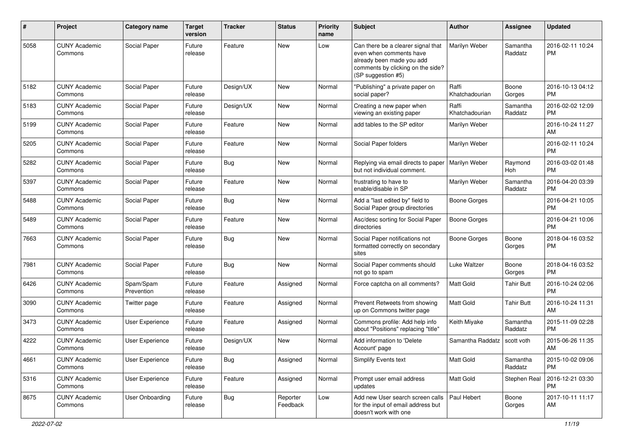| #    | Project                         | Category name           | <b>Target</b><br>version | <b>Tracker</b> | <b>Status</b>        | <b>Priority</b><br>name | <b>Subject</b>                                                                                                                                        | Author                  | <b>Assignee</b>     | <b>Updated</b>                |
|------|---------------------------------|-------------------------|--------------------------|----------------|----------------------|-------------------------|-------------------------------------------------------------------------------------------------------------------------------------------------------|-------------------------|---------------------|-------------------------------|
| 5058 | <b>CUNY Academic</b><br>Commons | Social Paper            | Future<br>release        | Feature        | <b>New</b>           | Low                     | Can there be a clearer signal that<br>even when comments have<br>already been made you add<br>comments by clicking on the side?<br>(SP suggestion #5) | Marilyn Weber           | Samantha<br>Raddatz | 2016-02-11 10:24<br><b>PM</b> |
| 5182 | <b>CUNY Academic</b><br>Commons | Social Paper            | Future<br>release        | Design/UX      | New                  | Normal                  | "Publishing" a private paper on<br>social paper?                                                                                                      | Raffi<br>Khatchadourian | Boone<br>Gorges     | 2016-10-13 04:12<br><b>PM</b> |
| 5183 | <b>CUNY Academic</b><br>Commons | Social Paper            | Future<br>release        | Design/UX      | <b>New</b>           | Normal                  | Creating a new paper when<br>viewing an existing paper                                                                                                | Raffi<br>Khatchadourian | Samantha<br>Raddatz | 2016-02-02 12:09<br><b>PM</b> |
| 5199 | <b>CUNY Academic</b><br>Commons | Social Paper            | Future<br>release        | Feature        | <b>New</b>           | Normal                  | add tables to the SP editor                                                                                                                           | Marilyn Weber           |                     | 2016-10-24 11:27<br>AM        |
| 5205 | <b>CUNY Academic</b><br>Commons | Social Paper            | Future<br>release        | Feature        | <b>New</b>           | Normal                  | Social Paper folders                                                                                                                                  | Marilyn Weber           |                     | 2016-02-11 10:24<br><b>PM</b> |
| 5282 | <b>CUNY Academic</b><br>Commons | Social Paper            | Future<br>release        | Bug            | <b>New</b>           | Normal                  | Replying via email directs to paper<br>but not individual comment.                                                                                    | Marilyn Weber           | Raymond<br>Hoh      | 2016-03-02 01:48<br><b>PM</b> |
| 5397 | <b>CUNY Academic</b><br>Commons | Social Paper            | Future<br>release        | Feature        | <b>New</b>           | Normal                  | frustrating to have to<br>enable/disable in SP                                                                                                        | Marilyn Weber           | Samantha<br>Raddatz | 2016-04-20 03:39<br><b>PM</b> |
| 5488 | <b>CUNY Academic</b><br>Commons | Social Paper            | Future<br>release        | Bug            | <b>New</b>           | Normal                  | Add a "last edited by" field to<br>Social Paper group directories                                                                                     | <b>Boone Gorges</b>     |                     | 2016-04-21 10:05<br><b>PM</b> |
| 5489 | <b>CUNY Academic</b><br>Commons | Social Paper            | Future<br>release        | Feature        | New                  | Normal                  | Asc/desc sorting for Social Paper<br>directories                                                                                                      | <b>Boone Gorges</b>     |                     | 2016-04-21 10:06<br><b>PM</b> |
| 7663 | <b>CUNY Academic</b><br>Commons | Social Paper            | Future<br>release        | Bug            | <b>New</b>           | Normal                  | Social Paper notifications not<br>formatted correctly on secondary<br>sites                                                                           | <b>Boone Gorges</b>     | Boone<br>Gorges     | 2018-04-16 03:52<br><b>PM</b> |
| 7981 | <b>CUNY Academic</b><br>Commons | Social Paper            | Future<br>release        | Bug            | <b>New</b>           | Normal                  | Social Paper comments should<br>not go to spam                                                                                                        | Luke Waltzer            | Boone<br>Gorges     | 2018-04-16 03:52<br><b>PM</b> |
| 6426 | <b>CUNY Academic</b><br>Commons | Spam/Spam<br>Prevention | Future<br>release        | Feature        | Assigned             | Normal                  | Force captcha on all comments?                                                                                                                        | <b>Matt Gold</b>        | Tahir Butt          | 2016-10-24 02:06<br><b>PM</b> |
| 3090 | <b>CUNY Academic</b><br>Commons | Twitter page            | Future<br>release        | Feature        | Assigned             | Normal                  | Prevent Retweets from showing<br>up on Commons twitter page                                                                                           | <b>Matt Gold</b>        | <b>Tahir Butt</b>   | 2016-10-24 11:31<br>AM        |
| 3473 | <b>CUNY Academic</b><br>Commons | <b>User Experience</b>  | Future<br>release        | Feature        | Assigned             | Normal                  | Commons profile: Add help info<br>about "Positions" replacing "title"                                                                                 | Keith Miyake            | Samantha<br>Raddatz | 2015-11-09 02:28<br>PM        |
| 4222 | <b>CUNY Academic</b><br>Commons | <b>User Experience</b>  | Future<br>release        | Design/UX      | <b>New</b>           | Normal                  | Add information to 'Delete<br>Account' page                                                                                                           | Samantha Raddatz        | scott voth          | 2015-06-26 11:35<br>AM        |
| 4661 | <b>CUNY Academic</b><br>Commons | User Experience         | Future<br>release        | Bug            | Assigned             | Normal                  | Simplify Events text                                                                                                                                  | Matt Gold               | Samantha<br>Raddatz | 2015-10-02 09:06<br><b>PM</b> |
| 5316 | <b>CUNY Academic</b><br>Commons | User Experience         | Future<br>release        | Feature        | Assigned             | Normal                  | Prompt user email address<br>updates                                                                                                                  | Matt Gold               | Stephen Real        | 2016-12-21 03:30<br><b>PM</b> |
| 8675 | <b>CUNY Academic</b><br>Commons | <b>User Onboarding</b>  | Future<br>release        | Bug            | Reporter<br>Feedback | Low                     | Add new User search screen calls<br>for the input of email address but<br>doesn't work with one                                                       | Paul Hebert             | Boone<br>Gorges     | 2017-10-11 11:17<br>AM        |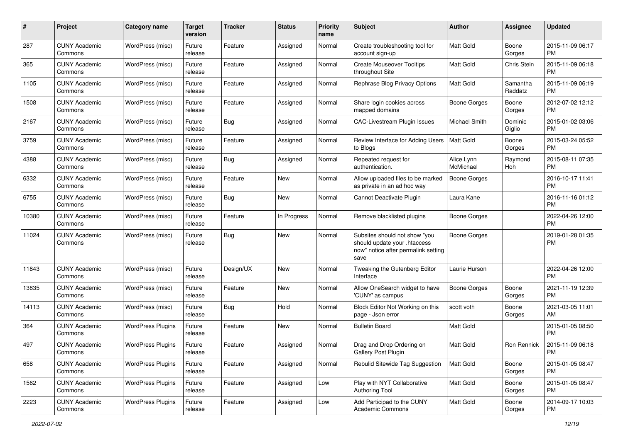| #     | Project                         | <b>Category name</b>     | <b>Target</b><br>version | <b>Tracker</b> | <b>Status</b> | <b>Priority</b><br>name | Subject                                                                                                      | Author                  | Assignee            | <b>Updated</b>                |
|-------|---------------------------------|--------------------------|--------------------------|----------------|---------------|-------------------------|--------------------------------------------------------------------------------------------------------------|-------------------------|---------------------|-------------------------------|
| 287   | <b>CUNY Academic</b><br>Commons | WordPress (misc)         | Future<br>release        | Feature        | Assigned      | Normal                  | Create troubleshooting tool for<br>account sign-up                                                           | <b>Matt Gold</b>        | Boone<br>Gorges     | 2015-11-09 06:17<br><b>PM</b> |
| 365   | <b>CUNY Academic</b><br>Commons | WordPress (misc)         | Future<br>release        | Feature        | Assigned      | Normal                  | <b>Create Mouseover Tooltips</b><br>throughout Site                                                          | Matt Gold               | Chris Stein         | 2015-11-09 06:18<br><b>PM</b> |
| 1105  | CUNY Academic<br>Commons        | WordPress (misc)         | Future<br>release        | Feature        | Assigned      | Normal                  | Rephrase Blog Privacy Options                                                                                | Matt Gold               | Samantha<br>Raddatz | 2015-11-09 06:19<br><b>PM</b> |
| 1508  | <b>CUNY Academic</b><br>Commons | WordPress (misc)         | Future<br>release        | Feature        | Assigned      | Normal                  | Share login cookies across<br>mapped domains                                                                 | Boone Gorges            | Boone<br>Gorges     | 2012-07-02 12:12<br><b>PM</b> |
| 2167  | <b>CUNY Academic</b><br>Commons | WordPress (misc)         | Future<br>release        | Bug            | Assigned      | Normal                  | CAC-Livestream Plugin Issues                                                                                 | Michael Smith           | Dominic<br>Giglio   | 2015-01-02 03:06<br><b>PM</b> |
| 3759  | <b>CUNY Academic</b><br>Commons | WordPress (misc)         | Future<br>release        | Feature        | Assigned      | Normal                  | Review Interface for Adding Users<br>to Blogs                                                                | Matt Gold               | Boone<br>Gorges     | 2015-03-24 05:52<br><b>PM</b> |
| 4388  | <b>CUNY Academic</b><br>Commons | WordPress (misc)         | Future<br>release        | Bug            | Assigned      | Normal                  | Repeated request for<br>authentication.                                                                      | Alice.Lynn<br>McMichael | Raymond<br>Hoh      | 2015-08-11 07:35<br><b>PM</b> |
| 6332  | <b>CUNY Academic</b><br>Commons | WordPress (misc)         | Future<br>release        | Feature        | New           | Normal                  | Allow uploaded files to be marked<br>as private in an ad hoc way                                             | <b>Boone Gorges</b>     |                     | 2016-10-17 11:41<br><b>PM</b> |
| 6755  | <b>CUNY Academic</b><br>Commons | WordPress (misc)         | Future<br>release        | Bug            | New           | Normal                  | Cannot Deactivate Plugin                                                                                     | Laura Kane              |                     | 2016-11-16 01:12<br><b>PM</b> |
| 10380 | CUNY Academic<br>Commons        | WordPress (misc)         | Future<br>release        | Feature        | In Progress   | Normal                  | Remove blacklisted plugins                                                                                   | Boone Gorges            |                     | 2022-04-26 12:00<br><b>PM</b> |
| 11024 | <b>CUNY Academic</b><br>Commons | WordPress (misc)         | Future<br>release        | Bug            | New           | Normal                  | Subsites should not show "you<br>should update your .htaccess<br>now" notice after permalink setting<br>save | Boone Gorges            |                     | 2019-01-28 01:35<br><b>PM</b> |
| 11843 | <b>CUNY Academic</b><br>Commons | WordPress (misc)         | Future<br>release        | Design/UX      | New           | Normal                  | Tweaking the Gutenberg Editor<br>Interface                                                                   | Laurie Hurson           |                     | 2022-04-26 12:00<br><b>PM</b> |
| 13835 | <b>CUNY Academic</b><br>Commons | WordPress (misc)         | Future<br>release        | Feature        | <b>New</b>    | Normal                  | Allow OneSearch widget to have<br>'CUNY' as campus                                                           | Boone Gorges            | Boone<br>Gorges     | 2021-11-19 12:39<br><b>PM</b> |
| 14113 | <b>CUNY Academic</b><br>Commons | WordPress (misc)         | Future<br>release        | Bug            | Hold          | Normal                  | Block Editor Not Working on this<br>page - Json error                                                        | scott voth              | Boone<br>Gorges     | 2021-03-05 11:01<br>AM        |
| 364   | <b>CUNY Academic</b><br>Commons | <b>WordPress Plugins</b> | Future<br>release        | Feature        | New           | Normal                  | <b>Bulletin Board</b>                                                                                        | Matt Gold               |                     | 2015-01-05 08:50<br><b>PM</b> |
| 497   | <b>CUNY Academic</b><br>Commons | <b>WordPress Plugins</b> | Future<br>release        | Feature        | Assigned      | Normal                  | Drag and Drop Ordering on<br>Gallery Post Plugin                                                             | Matt Gold               | Ron Rennick         | 2015-11-09 06:18<br>PM        |
| 658   | <b>CUNY Academic</b><br>Commons | <b>WordPress Plugins</b> | Future<br>release        | Feature        | Assigned      | Normal                  | Rebulid Sitewide Tag Suggestion                                                                              | <b>Matt Gold</b>        | Boone<br>Gorges     | 2015-01-05 08:47<br>PM        |
| 1562  | <b>CUNY Academic</b><br>Commons | <b>WordPress Plugins</b> | Future<br>release        | Feature        | Assigned      | Low                     | Play with NYT Collaborative<br><b>Authoring Tool</b>                                                         | Matt Gold               | Boone<br>Gorges     | 2015-01-05 08:47<br><b>PM</b> |
| 2223  | <b>CUNY Academic</b><br>Commons | <b>WordPress Plugins</b> | Future<br>release        | Feature        | Assigned      | Low                     | Add Participad to the CUNY<br>Academic Commons                                                               | Matt Gold               | Boone<br>Gorges     | 2014-09-17 10:03<br><b>PM</b> |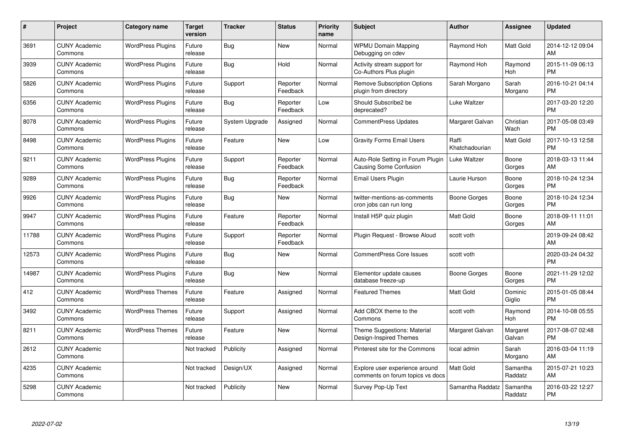| #     | Project                         | <b>Category name</b>     | Target<br>version | <b>Tracker</b> | <b>Status</b>        | Priority<br>name | <b>Subject</b>                                                     | <b>Author</b>           | <b>Assignee</b>     | <b>Updated</b>                |
|-------|---------------------------------|--------------------------|-------------------|----------------|----------------------|------------------|--------------------------------------------------------------------|-------------------------|---------------------|-------------------------------|
| 3691  | <b>CUNY Academic</b><br>Commons | <b>WordPress Plugins</b> | Future<br>release | Bug            | <b>New</b>           | Normal           | <b>WPMU Domain Mapping</b><br>Debugging on cdev                    | Raymond Hoh             | Matt Gold           | 2014-12-12 09:04<br>AM        |
| 3939  | <b>CUNY Academic</b><br>Commons | <b>WordPress Plugins</b> | Future<br>release | Bug            | Hold                 | Normal           | Activity stream support for<br>Co-Authors Plus plugin              | Raymond Hoh             | Raymond<br>Hoh      | 2015-11-09 06:13<br><b>PM</b> |
| 5826  | <b>CUNY Academic</b><br>Commons | <b>WordPress Plugins</b> | Future<br>release | Support        | Reporter<br>Feedback | Normal           | <b>Remove Subscription Options</b><br>plugin from directory        | Sarah Morgano           | Sarah<br>Morgano    | 2016-10-21 04:14<br><b>PM</b> |
| 6356  | <b>CUNY Academic</b><br>Commons | <b>WordPress Plugins</b> | Future<br>release | Bug            | Reporter<br>Feedback | Low              | Should Subscribe2 be<br>deprecated?                                | Luke Waltzer            |                     | 2017-03-20 12:20<br><b>PM</b> |
| 8078  | <b>CUNY Academic</b><br>Commons | <b>WordPress Plugins</b> | Future<br>release | System Upgrade | Assigned             | Normal           | <b>CommentPress Updates</b>                                        | Margaret Galvan         | Christian<br>Wach   | 2017-05-08 03:49<br><b>PM</b> |
| 8498  | <b>CUNY Academic</b><br>Commons | <b>WordPress Plugins</b> | Future<br>release | Feature        | <b>New</b>           | Low              | <b>Gravity Forms Email Users</b>                                   | Raffi<br>Khatchadourian | Matt Gold           | 2017-10-13 12:58<br><b>PM</b> |
| 9211  | <b>CUNY Academic</b><br>Commons | <b>WordPress Plugins</b> | Future<br>release | Support        | Reporter<br>Feedback | Normal           | Auto-Role Setting in Forum Plugin<br><b>Causing Some Confusion</b> | Luke Waltzer            | Boone<br>Gorges     | 2018-03-13 11:44<br>AM        |
| 9289  | <b>CUNY Academic</b><br>Commons | <b>WordPress Plugins</b> | Future<br>release | Bug            | Reporter<br>Feedback | Normal           | <b>Email Users Plugin</b>                                          | Laurie Hurson           | Boone<br>Gorges     | 2018-10-24 12:34<br><b>PM</b> |
| 9926  | <b>CUNY Academic</b><br>Commons | <b>WordPress Plugins</b> | Future<br>release | Bug            | New                  | Normal           | twitter-mentions-as-comments<br>cron jobs can run long             | Boone Gorges            | Boone<br>Gorges     | 2018-10-24 12:34<br><b>PM</b> |
| 9947  | <b>CUNY Academic</b><br>Commons | <b>WordPress Plugins</b> | Future<br>release | Feature        | Reporter<br>Feedback | Normal           | Install H5P quiz plugin                                            | <b>Matt Gold</b>        | Boone<br>Gorges     | 2018-09-11 11:01<br>AM        |
| 11788 | <b>CUNY Academic</b><br>Commons | <b>WordPress Plugins</b> | Future<br>release | Support        | Reporter<br>Feedback | Normal           | Plugin Request - Browse Aloud                                      | scott voth              |                     | 2019-09-24 08:42<br>AM        |
| 12573 | <b>CUNY Academic</b><br>Commons | <b>WordPress Plugins</b> | Future<br>release | Bug            | New                  | Normal           | <b>CommentPress Core Issues</b>                                    | scott voth              |                     | 2020-03-24 04:32<br><b>PM</b> |
| 14987 | <b>CUNY Academic</b><br>Commons | <b>WordPress Plugins</b> | Future<br>release | Bug            | New                  | Normal           | Elementor update causes<br>database freeze-up                      | Boone Gorges            | Boone<br>Gorges     | 2021-11-29 12:02<br><b>PM</b> |
| 412   | <b>CUNY Academic</b><br>Commons | <b>WordPress Themes</b>  | Future<br>release | Feature        | Assigned             | Normal           | <b>Featured Themes</b>                                             | <b>Matt Gold</b>        | Dominic<br>Giglio   | 2015-01-05 08:44<br><b>PM</b> |
| 3492  | <b>CUNY Academic</b><br>Commons | <b>WordPress Themes</b>  | Future<br>release | Support        | Assigned             | Normal           | Add CBOX theme to the<br>Commons                                   | scott voth              | Raymond<br>Hoh      | 2014-10-08 05:55<br><b>PM</b> |
| 8211  | <b>CUNY Academic</b><br>Commons | <b>WordPress Themes</b>  | Future<br>release | Feature        | New                  | Normal           | Theme Suggestions: Material<br>Design-Inspired Themes              | Margaret Galvan         | Margaret<br>Galvan  | 2017-08-07 02:48<br><b>PM</b> |
| 2612  | <b>CUNY Academic</b><br>Commons |                          | Not tracked       | Publicity      | Assigned             | Normal           | Pinterest site for the Commons                                     | local admin             | Sarah<br>Morgano    | 2016-03-04 11:19<br>AM        |
| 4235  | <b>CUNY Academic</b><br>Commons |                          | Not tracked       | Design/UX      | Assigned             | Normal           | Explore user experience around<br>comments on forum topics vs docs | <b>Matt Gold</b>        | Samantha<br>Raddatz | 2015-07-21 10:23<br>AM        |
| 5298  | <b>CUNY Academic</b><br>Commons |                          | Not tracked       | Publicity      | <b>New</b>           | Normal           | Survey Pop-Up Text                                                 | Samantha Raddatz        | Samantha<br>Raddatz | 2016-03-22 12:27<br>PM        |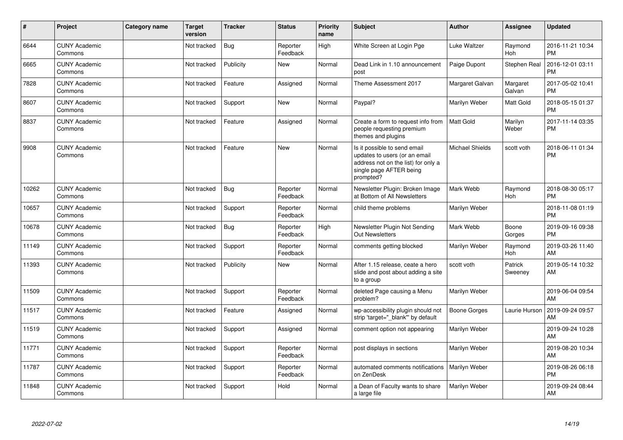| ∦     | Project                         | Category name | <b>Target</b><br>version | <b>Tracker</b> | <b>Status</b>        | <b>Priority</b><br>name | <b>Subject</b>                                                                                                                               | <b>Author</b>          | Assignee           | <b>Updated</b>                |
|-------|---------------------------------|---------------|--------------------------|----------------|----------------------|-------------------------|----------------------------------------------------------------------------------------------------------------------------------------------|------------------------|--------------------|-------------------------------|
| 6644  | <b>CUNY Academic</b><br>Commons |               | Not tracked              | Bug            | Reporter<br>Feedback | High                    | White Screen at Login Pge                                                                                                                    | Luke Waltzer           | Raymond<br>Hoh     | 2016-11-21 10:34<br><b>PM</b> |
| 6665  | <b>CUNY Academic</b><br>Commons |               | Not tracked              | Publicity      | <b>New</b>           | Normal                  | Dead Link in 1.10 announcement<br>post                                                                                                       | Paige Dupont           | Stephen Real       | 2016-12-01 03:11<br><b>PM</b> |
| 7828  | <b>CUNY Academic</b><br>Commons |               | Not tracked              | Feature        | Assigned             | Normal                  | Theme Assessment 2017                                                                                                                        | Margaret Galvan        | Margaret<br>Galvan | 2017-05-02 10:41<br><b>PM</b> |
| 8607  | <b>CUNY Academic</b><br>Commons |               | Not tracked              | Support        | <b>New</b>           | Normal                  | Paypal?                                                                                                                                      | Marilyn Weber          | Matt Gold          | 2018-05-15 01:37<br><b>PM</b> |
| 8837  | <b>CUNY Academic</b><br>Commons |               | Not tracked              | Feature        | Assigned             | Normal                  | Create a form to request info from<br>people requesting premium<br>themes and plugins                                                        | Matt Gold              | Marilyn<br>Weber   | 2017-11-14 03:35<br><b>PM</b> |
| 9908  | <b>CUNY Academic</b><br>Commons |               | Not tracked              | Feature        | <b>New</b>           | Normal                  | Is it possible to send email<br>updates to users (or an email<br>address not on the list) for only a<br>single page AFTER being<br>prompted? | <b>Michael Shields</b> | scott voth         | 2018-06-11 01:34<br><b>PM</b> |
| 10262 | <b>CUNY Academic</b><br>Commons |               | Not tracked              | <b>Bug</b>     | Reporter<br>Feedback | Normal                  | Newsletter Plugin: Broken Image<br>at Bottom of All Newsletters                                                                              | Mark Webb              | Raymond<br>Hoh     | 2018-08-30 05:17<br><b>PM</b> |
| 10657 | <b>CUNY Academic</b><br>Commons |               | Not tracked              | Support        | Reporter<br>Feedback | Normal                  | child theme problems                                                                                                                         | Marilyn Weber          |                    | 2018-11-08 01:19<br><b>PM</b> |
| 10678 | <b>CUNY Academic</b><br>Commons |               | Not tracked              | Bug            | Reporter<br>Feedback | High                    | Newsletter Plugin Not Sending<br>Out Newsletters                                                                                             | Mark Webb              | Boone<br>Gorges    | 2019-09-16 09:38<br><b>PM</b> |
| 11149 | <b>CUNY Academic</b><br>Commons |               | Not tracked              | Support        | Reporter<br>Feedback | Normal                  | comments getting blocked                                                                                                                     | Marilyn Weber          | Raymond<br>Hoh     | 2019-03-26 11:40<br>AM        |
| 11393 | <b>CUNY Academic</b><br>Commons |               | Not tracked              | Publicity      | New                  | Normal                  | After 1.15 release, ceate a hero<br>slide and post about adding a site<br>to a group                                                         | scott voth             | Patrick<br>Sweeney | 2019-05-14 10:32<br>AM        |
| 11509 | <b>CUNY Academic</b><br>Commons |               | Not tracked              | Support        | Reporter<br>Feedback | Normal                  | deleted Page causing a Menu<br>problem?                                                                                                      | Marilyn Weber          |                    | 2019-06-04 09:54<br>AM        |
| 11517 | <b>CUNY Academic</b><br>Commons |               | Not tracked              | Feature        | Assigned             | Normal                  | wp-accessibility plugin should not<br>strip 'target=" blank" by default                                                                      | Boone Gorges           | Laurie Hurson      | 2019-09-24 09:57<br>AM        |
| 11519 | <b>CUNY Academic</b><br>Commons |               | Not tracked              | Support        | Assigned             | Normal                  | comment option not appearing                                                                                                                 | Marilyn Weber          |                    | 2019-09-24 10:28<br>AM        |
| 11771 | <b>CUNY Academic</b><br>Commons |               | Not tracked              | Support        | Reporter<br>Feedback | Normal                  | post displays in sections                                                                                                                    | Marilyn Weber          |                    | 2019-08-20 10:34<br>AM        |
| 11787 | <b>CUNY Academic</b><br>Commons |               | Not tracked              | Support        | Reporter<br>Feedback | Normal                  | automated comments notifications<br>on ZenDesk                                                                                               | Marilyn Weber          |                    | 2019-08-26 06:18<br><b>PM</b> |
| 11848 | <b>CUNY Academic</b><br>Commons |               | Not tracked              | Support        | Hold                 | Normal                  | a Dean of Faculty wants to share<br>a large file                                                                                             | Marilyn Weber          |                    | 2019-09-24 08:44<br>AM        |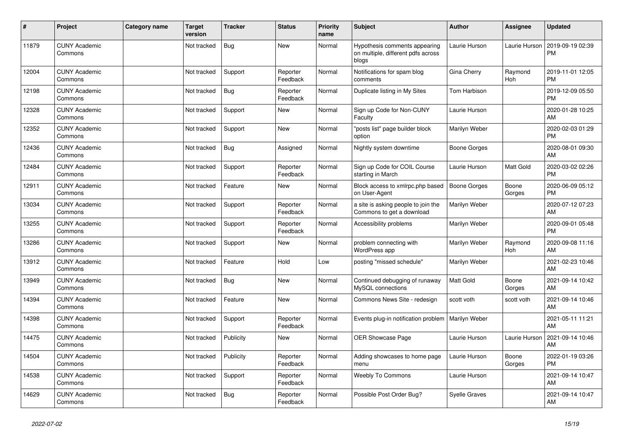| #     | Project                         | Category name | <b>Target</b><br>version | <b>Tracker</b> | <b>Status</b>        | <b>Priority</b><br>name | <b>Subject</b>                                                               | Author               | Assignee        | <b>Updated</b>                |
|-------|---------------------------------|---------------|--------------------------|----------------|----------------------|-------------------------|------------------------------------------------------------------------------|----------------------|-----------------|-------------------------------|
| 11879 | <b>CUNY Academic</b><br>Commons |               | Not tracked              | Bug            | <b>New</b>           | Normal                  | Hypothesis comments appearing<br>on multiple, different pdfs across<br>blogs | Laurie Hurson        | Laurie Hurson   | 2019-09-19 02:39<br><b>PM</b> |
| 12004 | <b>CUNY Academic</b><br>Commons |               | Not tracked              | Support        | Reporter<br>Feedback | Normal                  | Notifications for spam blog<br>comments                                      | Gina Cherry          | Raymond<br>Hoh  | 2019-11-01 12:05<br><b>PM</b> |
| 12198 | <b>CUNY Academic</b><br>Commons |               | Not tracked              | Bug            | Reporter<br>Feedback | Normal                  | Duplicate listing in My Sites                                                | Tom Harbison         |                 | 2019-12-09 05:50<br><b>PM</b> |
| 12328 | <b>CUNY Academic</b><br>Commons |               | Not tracked              | Support        | <b>New</b>           | Normal                  | Sign up Code for Non-CUNY<br>Faculty                                         | Laurie Hurson        |                 | 2020-01-28 10:25<br>AM        |
| 12352 | <b>CUNY Academic</b><br>Commons |               | Not tracked              | Support        | <b>New</b>           | Normal                  | "posts list" page builder block<br>option                                    | Marilyn Weber        |                 | 2020-02-03 01:29<br><b>PM</b> |
| 12436 | <b>CUNY Academic</b><br>Commons |               | Not tracked              | Bug            | Assigned             | Normal                  | Nightly system downtime                                                      | Boone Gorges         |                 | 2020-08-01 09:30<br>AM        |
| 12484 | <b>CUNY Academic</b><br>Commons |               | Not tracked              | Support        | Reporter<br>Feedback | Normal                  | Sign up Code for COIL Course<br>starting in March                            | Laurie Hurson        | Matt Gold       | 2020-03-02 02:26<br><b>PM</b> |
| 12911 | <b>CUNY Academic</b><br>Commons |               | Not tracked              | Feature        | <b>New</b>           | Normal                  | Block access to xmlrpc.php based<br>on User-Agent                            | Boone Gorges         | Boone<br>Gorges | 2020-06-09 05:12<br><b>PM</b> |
| 13034 | <b>CUNY Academic</b><br>Commons |               | Not tracked              | Support        | Reporter<br>Feedback | Normal                  | a site is asking people to join the<br>Commons to get a download             | Marilyn Weber        |                 | 2020-07-12 07:23<br>AM        |
| 13255 | <b>CUNY Academic</b><br>Commons |               | Not tracked              | Support        | Reporter<br>Feedback | Normal                  | Accessibility problems                                                       | Marilyn Weber        |                 | 2020-09-01 05:48<br><b>PM</b> |
| 13286 | <b>CUNY Academic</b><br>Commons |               | Not tracked              | Support        | <b>New</b>           | Normal                  | problem connecting with<br>WordPress app                                     | Marilyn Weber        | Raymond<br>Hoh  | 2020-09-08 11:16<br>AM        |
| 13912 | <b>CUNY Academic</b><br>Commons |               | Not tracked              | Feature        | Hold                 | Low                     | posting "missed schedule"                                                    | Marilyn Weber        |                 | 2021-02-23 10:46<br>AM        |
| 13949 | <b>CUNY Academic</b><br>Commons |               | Not tracked              | Bug            | <b>New</b>           | Normal                  | Continued debugging of runaway<br>MySQL connections                          | <b>Matt Gold</b>     | Boone<br>Gorges | 2021-09-14 10:42<br>AM        |
| 14394 | <b>CUNY Academic</b><br>Commons |               | Not tracked              | Feature        | <b>New</b>           | Normal                  | Commons News Site - redesign                                                 | scott voth           | scott voth      | 2021-09-14 10:46<br>AM        |
| 14398 | <b>CUNY Academic</b><br>Commons |               | Not tracked              | Support        | Reporter<br>Feedback | Normal                  | Events plug-in notification problem                                          | Marilyn Weber        |                 | 2021-05-11 11:21<br>AM        |
| 14475 | <b>CUNY Academic</b><br>Commons |               | Not tracked              | Publicity      | <b>New</b>           | Normal                  | <b>OER Showcase Page</b>                                                     | Laurie Hurson        | Laurie Hurson   | 2021-09-14 10:46<br>AM        |
| 14504 | <b>CUNY Academic</b><br>Commons |               | Not tracked              | Publicity      | Reporter<br>Feedback | Normal                  | Adding showcases to home page<br>menu                                        | Laurie Hurson        | Boone<br>Gorges | 2022-01-19 03:26<br><b>PM</b> |
| 14538 | <b>CUNY Academic</b><br>Commons |               | Not tracked              | Support        | Reporter<br>Feedback | Normal                  | <b>Weebly To Commons</b>                                                     | Laurie Hurson        |                 | 2021-09-14 10:47<br>AM        |
| 14629 | <b>CUNY Academic</b><br>Commons |               | Not tracked              | <b>Bug</b>     | Reporter<br>Feedback | Normal                  | Possible Post Order Bug?                                                     | <b>Syelle Graves</b> |                 | 2021-09-14 10:47<br>AM        |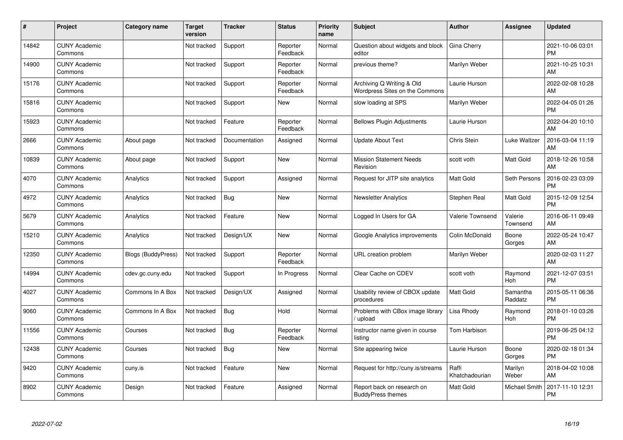| #     | Project                         | <b>Category name</b>      | <b>Target</b><br>version | <b>Tracker</b> | <b>Status</b>        | <b>Priority</b><br>name | <b>Subject</b>                                              | <b>Author</b>           | <b>Assignee</b>     | <b>Updated</b>                |
|-------|---------------------------------|---------------------------|--------------------------|----------------|----------------------|-------------------------|-------------------------------------------------------------|-------------------------|---------------------|-------------------------------|
| 14842 | <b>CUNY Academic</b><br>Commons |                           | Not tracked              | Support        | Reporter<br>Feedback | Normal                  | Question about widgets and block<br>editor                  | <b>Gina Cherry</b>      |                     | 2021-10-06 03:01<br><b>PM</b> |
| 14900 | <b>CUNY Academic</b><br>Commons |                           | Not tracked              | Support        | Reporter<br>Feedback | Normal                  | previous theme?                                             | Marilyn Weber           |                     | 2021-10-25 10:31<br>AM        |
| 15176 | <b>CUNY Academic</b><br>Commons |                           | Not tracked              | Support        | Reporter<br>Feedback | Normal                  | Archiving Q Writing & Old<br>Wordpress Sites on the Commons | Laurie Hurson           |                     | 2022-02-08 10:28<br>AM        |
| 15816 | <b>CUNY Academic</b><br>Commons |                           | Not tracked              | Support        | <b>New</b>           | Normal                  | slow loading at SPS                                         | Marilyn Weber           |                     | 2022-04-05 01:26<br><b>PM</b> |
| 15923 | <b>CUNY Academic</b><br>Commons |                           | Not tracked              | Feature        | Reporter<br>Feedback | Normal                  | <b>Bellows Plugin Adjustments</b>                           | Laurie Hurson           |                     | 2022-04-20 10:10<br>AM        |
| 2666  | <b>CUNY Academic</b><br>Commons | About page                | Not tracked              | Documentation  | Assigned             | Normal                  | <b>Update About Text</b>                                    | Chris Stein             | Luke Waltzer        | 2016-03-04 11:19<br>AM        |
| 10839 | <b>CUNY Academic</b><br>Commons | About page                | Not tracked              | Support        | <b>New</b>           | Normal                  | <b>Mission Statement Needs</b><br>Revision                  | scott voth              | Matt Gold           | 2018-12-26 10:58<br>AM        |
| 4070  | <b>CUNY Academic</b><br>Commons | Analytics                 | Not tracked              | Support        | Assigned             | Normal                  | Request for JITP site analytics                             | <b>Matt Gold</b>        | Seth Persons        | 2016-02-23 03:09<br><b>PM</b> |
| 4972  | <b>CUNY Academic</b><br>Commons | Analytics                 | Not tracked              | Bug            | New                  | Normal                  | <b>Newsletter Analytics</b>                                 | Stephen Real            | Matt Gold           | 2015-12-09 12:54<br><b>PM</b> |
| 5679  | <b>CUNY Academic</b><br>Commons | Analytics                 | Not tracked              | Feature        | <b>New</b>           | Normal                  | Logged In Users for GA                                      | <b>Valerie Townsend</b> | Valerie<br>Townsend | 2016-06-11 09:49<br>AM        |
| 15210 | <b>CUNY Academic</b><br>Commons | Analytics                 | Not tracked              | Design/UX      | New                  | Normal                  | Google Analytics improvements                               | Colin McDonald          | Boone<br>Gorges     | 2022-05-24 10:47<br>AM        |
| 12350 | <b>CUNY Academic</b><br>Commons | <b>Blogs (BuddyPress)</b> | Not tracked              | Support        | Reporter<br>Feedback | Normal                  | URL creation problem                                        | Marilyn Weber           |                     | 2020-02-03 11:27<br>AM        |
| 14994 | <b>CUNY Academic</b><br>Commons | cdev.gc.cuny.edu          | Not tracked              | Support        | In Progress          | Normal                  | Clear Cache on CDEV                                         | scott voth              | Raymond<br>Hoh      | 2021-12-07 03:51<br><b>PM</b> |
| 4027  | <b>CUNY Academic</b><br>Commons | Commons In A Box          | Not tracked              | Design/UX      | Assigned             | Normal                  | Usability review of CBOX update<br>procedures               | <b>Matt Gold</b>        | Samantha<br>Raddatz | 2015-05-11 06:36<br><b>PM</b> |
| 9060  | <b>CUNY Academic</b><br>Commons | Commons In A Box          | Not tracked              | <b>Bug</b>     | Hold                 | Normal                  | Problems with CBox image library<br>/ upload                | Lisa Rhody              | Raymond<br>Hoh      | 2018-01-10 03:26<br><b>PM</b> |
| 11556 | <b>CUNY Academic</b><br>Commons | Courses                   | Not tracked              | Bug            | Reporter<br>Feedback | Normal                  | Instructor name given in course<br>listing                  | Tom Harbison            |                     | 2019-06-25 04:12<br><b>PM</b> |
| 12438 | <b>CUNY Academic</b><br>Commons | Courses                   | Not tracked              | <b>Bug</b>     | New                  | Normal                  | Site appearing twice                                        | Laurie Hurson           | Boone<br>Gorges     | 2020-02-18 01:34<br><b>PM</b> |
| 9420  | <b>CUNY Academic</b><br>Commons | cuny.is                   | Not tracked              | Feature        | New                  | Normal                  | Request for http://cuny.is/streams                          | Raffi<br>Khatchadourian | Marilyn<br>Weber    | 2018-04-02 10:08<br>AM        |
| 8902  | <b>CUNY Academic</b><br>Commons | Design                    | Not tracked              | Feature        | Assigned             | Normal                  | Report back on research on<br><b>BuddyPress themes</b>      | Matt Gold               | Michael Smith       | 2017-11-10 12:31<br><b>PM</b> |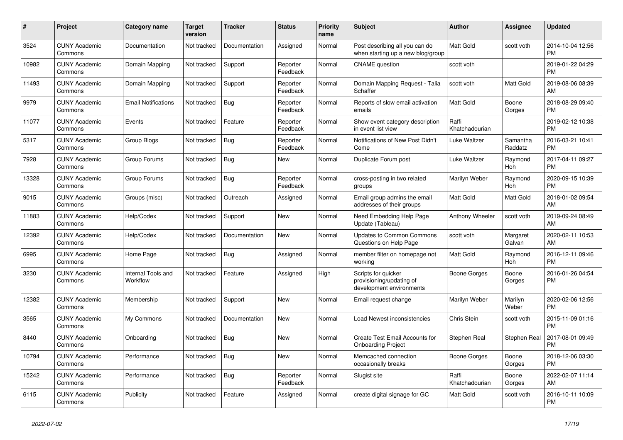| #     | Project                         | <b>Category name</b>                  | <b>Target</b><br>version | <b>Tracker</b> | <b>Status</b>        | Priority<br>name | <b>Subject</b>                                                              | <b>Author</b>           | Assignee            | <b>Updated</b>                |
|-------|---------------------------------|---------------------------------------|--------------------------|----------------|----------------------|------------------|-----------------------------------------------------------------------------|-------------------------|---------------------|-------------------------------|
| 3524  | <b>CUNY Academic</b><br>Commons | Documentation                         | Not tracked              | Documentation  | Assigned             | Normal           | Post describing all you can do<br>when starting up a new blog/group         | <b>Matt Gold</b>        | scott voth          | 2014-10-04 12:56<br><b>PM</b> |
| 10982 | <b>CUNY Academic</b><br>Commons | Domain Mapping                        | Not tracked              | Support        | Reporter<br>Feedback | Normal           | <b>CNAME</b> question                                                       | scott voth              |                     | 2019-01-22 04:29<br><b>PM</b> |
| 11493 | <b>CUNY Academic</b><br>Commons | Domain Mapping                        | Not tracked              | Support        | Reporter<br>Feedback | Normal           | Domain Mapping Request - Talia<br>Schaffer                                  | scott voth              | Matt Gold           | 2019-08-06 08:39<br>AM        |
| 9979  | <b>CUNY Academic</b><br>Commons | <b>Email Notifications</b>            | Not tracked              | Bug            | Reporter<br>Feedback | Normal           | Reports of slow email activation<br>emails                                  | <b>Matt Gold</b>        | Boone<br>Gorges     | 2018-08-29 09:40<br><b>PM</b> |
| 11077 | <b>CUNY Academic</b><br>Commons | Events                                | Not tracked              | Feature        | Reporter<br>Feedback | Normal           | Show event category description<br>in event list view                       | Raffi<br>Khatchadourian |                     | 2019-02-12 10:38<br><b>PM</b> |
| 5317  | <b>CUNY Academic</b><br>Commons | Group Blogs                           | Not tracked              | Bug            | Reporter<br>Feedback | Normal           | Notifications of New Post Didn't<br>Come                                    | Luke Waltzer            | Samantha<br>Raddatz | 2016-03-21 10:41<br><b>PM</b> |
| 7928  | <b>CUNY Academic</b><br>Commons | Group Forums                          | Not tracked              | <b>Bug</b>     | <b>New</b>           | Normal           | Duplicate Forum post                                                        | Luke Waltzer            | Raymond<br>Hoh      | 2017-04-11 09:27<br><b>PM</b> |
| 13328 | <b>CUNY Academic</b><br>Commons | Group Forums                          | Not tracked              | <b>Bug</b>     | Reporter<br>Feedback | Normal           | cross-posting in two related<br>groups                                      | Marilyn Weber           | Raymond<br>Hoh      | 2020-09-15 10:39<br><b>PM</b> |
| 9015  | <b>CUNY Academic</b><br>Commons | Groups (misc)                         | Not tracked              | Outreach       | Assigned             | Normal           | Email group admins the email<br>addresses of their groups                   | Matt Gold               | Matt Gold           | 2018-01-02 09:54<br>AM        |
| 11883 | <b>CUNY Academic</b><br>Commons | Help/Codex                            | Not tracked              | Support        | New                  | Normal           | Need Embedding Help Page<br>Update (Tableau)                                | Anthony Wheeler         | scott voth          | 2019-09-24 08:49<br>AM        |
| 12392 | <b>CUNY Academic</b><br>Commons | Help/Codex                            | Not tracked              | Documentation  | <b>New</b>           | Normal           | <b>Updates to Common Commons</b><br>Questions on Help Page                  | scott voth              | Margaret<br>Galvan  | 2020-02-11 10:53<br>AM        |
| 6995  | <b>CUNY Academic</b><br>Commons | Home Page                             | Not tracked              | Bug            | Assigned             | Normal           | member filter on homepage not<br>working                                    | <b>Matt Gold</b>        | Raymond<br>Hoh      | 2016-12-11 09:46<br><b>PM</b> |
| 3230  | <b>CUNY Academic</b><br>Commons | <b>Internal Tools and</b><br>Workflow | Not tracked              | Feature        | Assigned             | High             | Scripts for quicker<br>provisioning/updating of<br>development environments | <b>Boone Gorges</b>     | Boone<br>Gorges     | 2016-01-26 04:54<br><b>PM</b> |
| 12382 | <b>CUNY Academic</b><br>Commons | Membership                            | Not tracked              | Support        | New                  | Normal           | Email request change                                                        | Marilyn Weber           | Marilyn<br>Weber    | 2020-02-06 12:56<br><b>PM</b> |
| 3565  | <b>CUNY Academic</b><br>Commons | My Commons                            | Not tracked              | Documentation  | New                  | Normal           | Load Newest inconsistencies                                                 | Chris Stein             | scott voth          | 2015-11-09 01:16<br><b>PM</b> |
| 8440  | <b>CUNY Academic</b><br>Commons | Onboarding                            | Not tracked              | Bug            | <b>New</b>           | Normal           | Create Test Email Accounts for<br><b>Onboarding Project</b>                 | Stephen Real            | Stephen Real        | 2017-08-01 09:49<br><b>PM</b> |
| 10794 | <b>CUNY Academic</b><br>Commons | Performance                           | Not tracked              | <b>Bug</b>     | <b>New</b>           | Normal           | Memcached connection<br>occasionally breaks                                 | Boone Gorges            | Boone<br>Gorges     | 2018-12-06 03:30<br><b>PM</b> |
| 15242 | <b>CUNY Academic</b><br>Commons | Performance                           | Not tracked              | <b>Bug</b>     | Reporter<br>Feedback | Normal           | Slugist site                                                                | Raffi<br>Khatchadourian | Boone<br>Gorges     | 2022-02-07 11:14<br>AM        |
| 6115  | <b>CUNY Academic</b><br>Commons | Publicity                             | Not tracked              | Feature        | Assigned             | Normal           | create digital signage for GC                                               | <b>Matt Gold</b>        | scott voth          | 2016-10-11 10:09<br><b>PM</b> |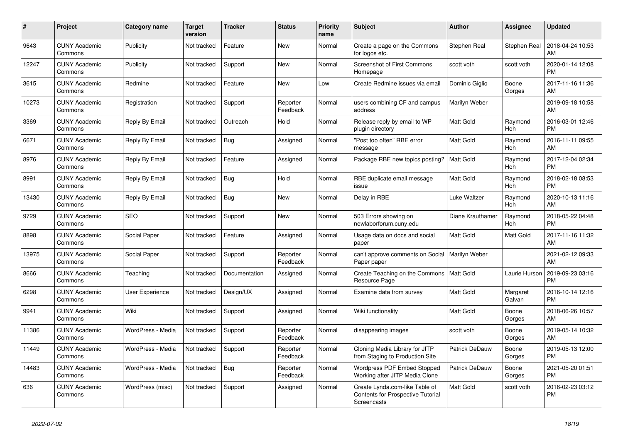| #     | Project                         | Category name          | <b>Target</b><br>version | <b>Tracker</b> | <b>Status</b>        | <b>Priority</b><br>name | <b>Subject</b>                                                                            | <b>Author</b>    | Assignee           | <b>Updated</b>                |
|-------|---------------------------------|------------------------|--------------------------|----------------|----------------------|-------------------------|-------------------------------------------------------------------------------------------|------------------|--------------------|-------------------------------|
| 9643  | <b>CUNY Academic</b><br>Commons | Publicity              | Not tracked              | Feature        | New                  | Normal                  | Create a page on the Commons<br>for logos etc.                                            | Stephen Real     | Stephen Real       | 2018-04-24 10:53<br>AM        |
| 12247 | <b>CUNY Academic</b><br>Commons | Publicity              | Not tracked              | Support        | New                  | Normal                  | <b>Screenshot of First Commons</b><br>Homepage                                            | scott voth       | scott voth         | 2020-01-14 12:08<br><b>PM</b> |
| 3615  | <b>CUNY Academic</b><br>Commons | Redmine                | Not tracked              | Feature        | <b>New</b>           | Low                     | Create Redmine issues via email                                                           | Dominic Giglio   | Boone<br>Gorges    | 2017-11-16 11:36<br>AM        |
| 10273 | <b>CUNY Academic</b><br>Commons | Registration           | Not tracked              | Support        | Reporter<br>Feedback | Normal                  | users combining CF and campus<br>address                                                  | Marilyn Weber    |                    | 2019-09-18 10:58<br>AM        |
| 3369  | <b>CUNY Academic</b><br>Commons | Reply By Email         | Not tracked              | Outreach       | Hold                 | Normal                  | Release reply by email to WP<br>plugin directory                                          | Matt Gold        | Raymond<br>Hoh     | 2016-03-01 12:46<br><b>PM</b> |
| 6671  | <b>CUNY Academic</b><br>Commons | Reply By Email         | Not tracked              | Bug            | Assigned             | Normal                  | "Post too often" RBE error<br>message                                                     | Matt Gold        | Raymond<br>Hoh     | 2016-11-11 09:55<br>AM        |
| 8976  | <b>CUNY Academic</b><br>Commons | Reply By Email         | Not tracked              | Feature        | Assigned             | Normal                  | Package RBE new topics posting?                                                           | <b>Matt Gold</b> | Raymond<br>Hoh     | 2017-12-04 02:34<br><b>PM</b> |
| 8991  | <b>CUNY Academic</b><br>Commons | Reply By Email         | Not tracked              | Bug            | Hold                 | Normal                  | RBE duplicate email message<br>issue                                                      | <b>Matt Gold</b> | Raymond<br>Hoh     | 2018-02-18 08:53<br><b>PM</b> |
| 13430 | <b>CUNY Academic</b><br>Commons | Reply By Email         | Not tracked              | Bug            | <b>New</b>           | Normal                  | Delay in RBE                                                                              | Luke Waltzer     | Raymond<br>Hoh     | 2020-10-13 11:16<br>AM        |
| 9729  | <b>CUNY Academic</b><br>Commons | <b>SEO</b>             | Not tracked              | Support        | New                  | Normal                  | 503 Errors showing on<br>newlaborforum.cuny.edu                                           | Diane Krauthamer | Raymond<br>Hoh     | 2018-05-22 04:48<br><b>PM</b> |
| 8898  | <b>CUNY Academic</b><br>Commons | Social Paper           | Not tracked              | Feature        | Assigned             | Normal                  | Usage data on docs and social<br>paper                                                    | <b>Matt Gold</b> | Matt Gold          | 2017-11-16 11:32<br>AM        |
| 13975 | <b>CUNY Academic</b><br>Commons | Social Paper           | Not tracked              | Support        | Reporter<br>Feedback | Normal                  | can't approve comments on Social<br>Paper paper                                           | Marilyn Weber    |                    | 2021-02-12 09:33<br>AM        |
| 8666  | <b>CUNY Academic</b><br>Commons | Teaching               | Not tracked              | Documentation  | Assigned             | Normal                  | Create Teaching on the Commons<br>Resource Page                                           | Matt Gold        | Laurie Hurson      | 2019-09-23 03:16<br><b>PM</b> |
| 6298  | <b>CUNY Academic</b><br>Commons | <b>User Experience</b> | Not tracked              | Design/UX      | Assigned             | Normal                  | Examine data from survey                                                                  | <b>Matt Gold</b> | Margaret<br>Galvan | 2016-10-14 12:16<br><b>PM</b> |
| 9941  | <b>CUNY Academic</b><br>Commons | Wiki                   | Not tracked              | Support        | Assigned             | Normal                  | Wiki functionality                                                                        | <b>Matt Gold</b> | Boone<br>Gorges    | 2018-06-26 10:57<br>AM        |
| 11386 | <b>CUNY Academic</b><br>Commons | WordPress - Media      | Not tracked              | Support        | Reporter<br>Feedback | Normal                  | disappearing images                                                                       | scott voth       | Boone<br>Gorges    | 2019-05-14 10:32<br>AM        |
| 11449 | <b>CUNY Academic</b><br>Commons | WordPress - Media      | Not tracked              | Support        | Reporter<br>Feedback | Normal                  | Cloning Media Library for JITP<br>from Staging to Production Site                         | Patrick DeDauw   | Boone<br>Gorges    | 2019-05-13 12:00<br><b>PM</b> |
| 14483 | <b>CUNY Academic</b><br>Commons | WordPress - Media      | Not tracked              | Bug            | Reporter<br>Feedback | Normal                  | <b>Wordpress PDF Embed Stopped</b><br>Working after JITP Media Clone                      | Patrick DeDauw   | Boone<br>Gorges    | 2021-05-20 01:51<br><b>PM</b> |
| 636   | <b>CUNY Academic</b><br>Commons | WordPress (misc)       | Not tracked              | Support        | Assigned             | Normal                  | Create Lynda.com-like Table of<br><b>Contents for Prospective Tutorial</b><br>Screencasts | Matt Gold        | scott voth         | 2016-02-23 03:12<br><b>PM</b> |